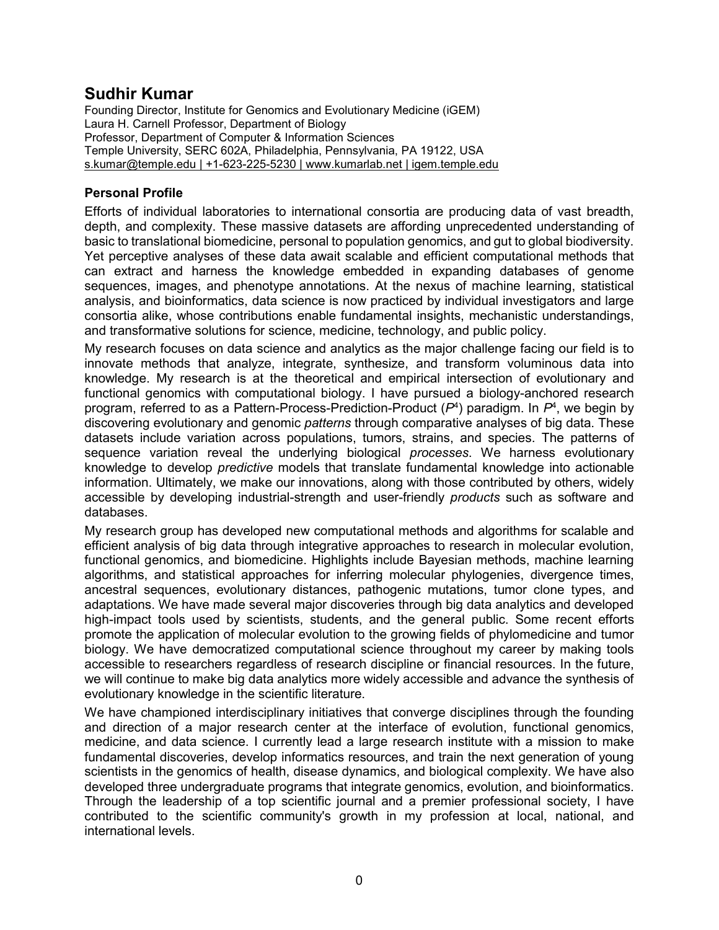# **Sudhir Kumar**

Founding Director, Institute for Genomics and Evolutionary Medicine (iGEM) Laura H. Carnell Professor, Department of Biology Professor, Department of Computer & Information Sciences Temple University, SERC 602A, Philadelphia, Pennsylvania, PA 19122, USA s.kumar@temple.edu | +1-623-225-5230 | www.kumarlab.net | igem.temple.edu

# **Personal Profile**

Efforts of individual laboratories to international consortia are producing data of vast breadth, depth, and complexity. These massive datasets are affording unprecedented understanding of basic to translational biomedicine, personal to population genomics, and gut to global biodiversity. Yet perceptive analyses of these data await scalable and efficient computational methods that can extract and harness the knowledge embedded in expanding databases of genome sequences, images, and phenotype annotations. At the nexus of machine learning, statistical analysis, and bioinformatics, data science is now practiced by individual investigators and large consortia alike, whose contributions enable fundamental insights, mechanistic understandings, and transformative solutions for science, medicine, technology, and public policy.

My research focuses on data science and analytics as the major challenge facing our field is to innovate methods that analyze, integrate, synthesize, and transform voluminous data into knowledge. My research is at the theoretical and empirical intersection of evolutionary and functional genomics with computational biology. I have pursued a biology-anchored research program, referred to as a Pattern-Process-Prediction-Product (*P*<sup>4</sup> ) paradigm. In *P*<sup>4</sup> , we begin by discovering evolutionary and genomic *patterns* through comparative analyses of big data. These datasets include variation across populations, tumors, strains, and species. The patterns of sequence variation reveal the underlying biological *processes*. We harness evolutionary knowledge to develop *predictive* models that translate fundamental knowledge into actionable information. Ultimately, we make our innovations, along with those contributed by others, widely accessible by developing industrial-strength and user-friendly *products* such as software and databases.

My research group has developed new computational methods and algorithms for scalable and efficient analysis of big data through integrative approaches to research in molecular evolution, functional genomics, and biomedicine. Highlights include Bayesian methods, machine learning algorithms, and statistical approaches for inferring molecular phylogenies, divergence times, ancestral sequences, evolutionary distances, pathogenic mutations, tumor clone types, and adaptations. We have made several major discoveries through big data analytics and developed high-impact tools used by scientists, students, and the general public. Some recent efforts promote the application of molecular evolution to the growing fields of phylomedicine and tumor biology. We have democratized computational science throughout my career by making tools accessible to researchers regardless of research discipline or financial resources. In the future, we will continue to make big data analytics more widely accessible and advance the synthesis of evolutionary knowledge in the scientific literature.

We have championed interdisciplinary initiatives that converge disciplines through the founding and direction of a major research center at the interface of evolution, functional genomics, medicine, and data science. I currently lead a large research institute with a mission to make fundamental discoveries, develop informatics resources, and train the next generation of young scientists in the genomics of health, disease dynamics, and biological complexity. We have also developed three undergraduate programs that integrate genomics, evolution, and bioinformatics. Through the leadership of a top scientific journal and a premier professional society, I have contributed to the scientific community's growth in my profession at local, national, and international levels.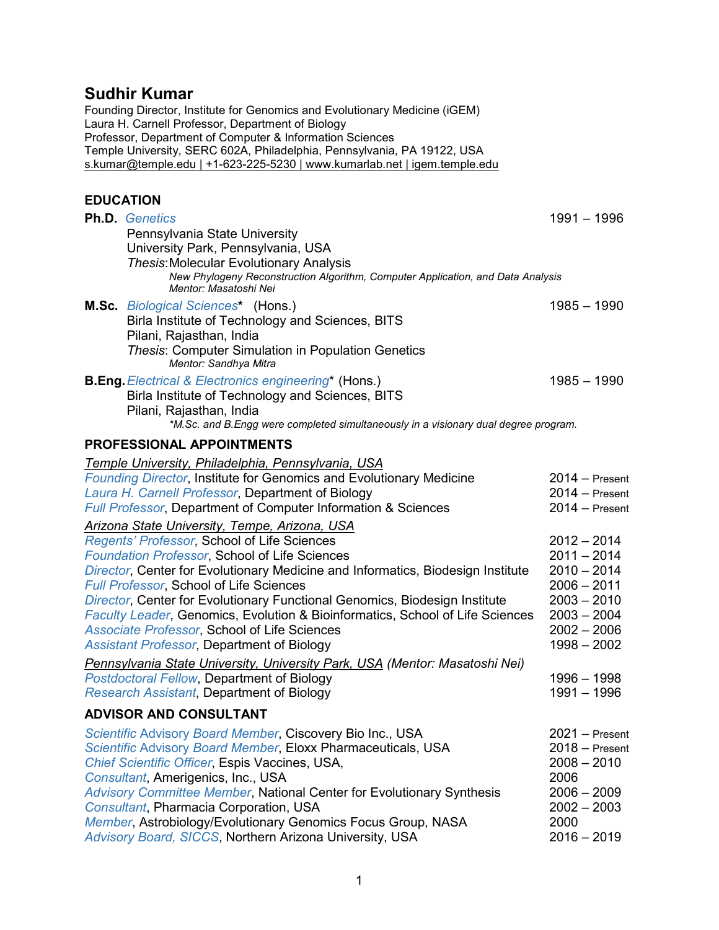# **Sudhir Kumar**

Founding Director, Institute for Genomics and Evolutionary Medicine (iGEM) Laura H. Carnell Professor, Department of Biology Professor, Department of Computer & Information Sciences Temple University, SERC 602A, Philadelphia, Pennsylvania, PA 19122, USA s.kumar@temple.edu | +1-623-225-5230 | www.kumarlab.net | igem.temple.edu

# **EDUCATION**

| <b>Ph.D.</b> Genetics                                                                                    | $1991 - 1996$    |
|----------------------------------------------------------------------------------------------------------|------------------|
| Pennsylvania State University                                                                            |                  |
| University Park, Pennsylvania, USA                                                                       |                  |
| <b>Thesis: Molecular Evolutionary Analysis</b>                                                           |                  |
| New Phylogeny Reconstruction Algorithm, Computer Application, and Data Analysis<br>Mentor: Masatoshi Nei |                  |
| <b>M.Sc.</b> Biological Sciences* (Hons.)                                                                | $1985 - 1990$    |
| Birla Institute of Technology and Sciences, BITS                                                         |                  |
| Pilani, Rajasthan, India                                                                                 |                  |
| <b>Thesis: Computer Simulation in Population Genetics</b><br>Mentor: Sandhya Mitra                       |                  |
| <b>B.Eng.</b> Electrical & Electronics engineering* (Hons.)                                              | $1985 - 1990$    |
| Birla Institute of Technology and Sciences, BITS                                                         |                  |
| Pilani, Rajasthan, India                                                                                 |                  |
| *M.Sc. and B.Engg were completed simultaneously in a visionary dual degree program.                      |                  |
| PROFESSIONAL APPOINTMENTS                                                                                |                  |
| Temple University, Philadelphia, Pennsylvania, USA                                                       |                  |
| Founding Director, Institute for Genomics and Evolutionary Medicine                                      | $2014 -$ Present |
| Laura H. Carnell Professor, Department of Biology                                                        | $2014 -$ Present |
| <b>Full Professor, Department of Computer Information &amp; Sciences</b>                                 | $2014 -$ Present |
| Arizona State University, Tempe, Arizona, USA                                                            |                  |
| Regents' Professor, School of Life Sciences                                                              | $2012 - 2014$    |
| Foundation Professor, School of Life Sciences                                                            | $2011 - 2014$    |
| Director, Center for Evolutionary Medicine and Informatics, Biodesign Institute                          | $2010 - 2014$    |
| Full Professor, School of Life Sciences                                                                  | $2006 - 2011$    |
| Director, Center for Evolutionary Functional Genomics, Biodesign Institute                               | $2003 - 2010$    |
| Faculty Leader, Genomics, Evolution & Bioinformatics, School of Life Sciences                            | $2003 - 2004$    |
| Associate Professor, School of Life Sciences                                                             | $2002 - 2006$    |
| <b>Assistant Professor, Department of Biology</b>                                                        | $1998 - 2002$    |
| Pennsylvania State University, University Park, USA (Mentor: Masatoshi Nei)                              |                  |
| Postdoctoral Fellow, Department of Biology                                                               | $1996 - 1998$    |
| <b>Research Assistant, Department of Biology</b>                                                         | $1991 - 1996$    |
| <b>ADVISOR AND CONSULTANT</b>                                                                            |                  |
| Scientific Advisory Board Member, Ciscovery Bio Inc., USA                                                | $2021 -$ Present |
| Scientific Advisory Board Member, Eloxx Pharmaceuticals, USA                                             | $2018 -$ Present |
| Chief Scientific Officer, Espis Vaccines, USA,                                                           | $2008 - 2010$    |
| Consultant, Amerigenics, Inc., USA                                                                       | 2006             |
| Advisory Committee Member, National Center for Evolutionary Synthesis                                    | $2006 - 2009$    |
| Consultant, Pharmacia Corporation, USA                                                                   | $2002 - 2003$    |
| Member, Astrobiology/Evolutionary Genomics Focus Group, NASA                                             | 2000             |
| Advisory Board, SICCS, Northern Arizona University, USA                                                  | $2016 - 2019$    |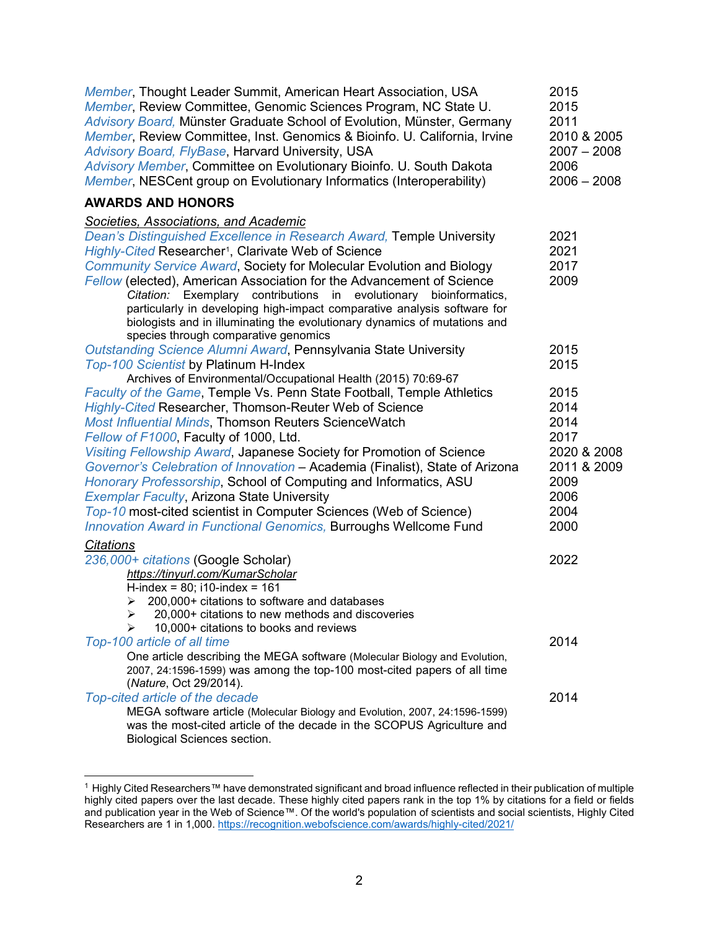| Member, Thought Leader Summit, American Heart Association, USA<br>Member, Review Committee, Genomic Sciences Program, NC State U.<br>Advisory Board, Münster Graduate School of Evolution, Münster, Germany<br>Member, Review Committee, Inst. Genomics & Bioinfo. U. California, Irvine<br>Advisory Board, FlyBase, Harvard University, USA<br>Advisory Member, Committee on Evolutionary Bioinfo. U. South Dakota<br>Member, NESCent group on Evolutionary Informatics (Interoperability)                                                                                                                                 | 2015<br>2015<br>2011<br>2010 & 2005<br>$2007 - 2008$<br>2006<br>$2006 - 2008$ |
|-----------------------------------------------------------------------------------------------------------------------------------------------------------------------------------------------------------------------------------------------------------------------------------------------------------------------------------------------------------------------------------------------------------------------------------------------------------------------------------------------------------------------------------------------------------------------------------------------------------------------------|-------------------------------------------------------------------------------|
| <b>AWARDS AND HONORS</b>                                                                                                                                                                                                                                                                                                                                                                                                                                                                                                                                                                                                    |                                                                               |
| <u>Societies, Associations, and Academic</u><br>Dean's Distinguished Excellence in Research Award, Temple University<br>Highly-Cited Researcher <sup>1</sup> , Clarivate Web of Science<br><b>Community Service Award, Society for Molecular Evolution and Biology</b><br>Fellow (elected), American Association for the Advancement of Science<br>Citation: Exemplary contributions in<br>evolutionary<br>bioinformatics,<br>particularly in developing high-impact comparative analysis software for<br>biologists and in illuminating the evolutionary dynamics of mutations and<br>species through comparative genomics | 2021<br>2021<br>2017<br>2009                                                  |
| Outstanding Science Alumni Award, Pennsylvania State University<br><b>Top-100 Scientist by Platinum H-Index</b><br>Archives of Environmental/Occupational Health (2015) 70:69-67                                                                                                                                                                                                                                                                                                                                                                                                                                            | 2015<br>2015                                                                  |
| Faculty of the Game, Temple Vs. Penn State Football, Temple Athletics<br>Highly-Cited Researcher, Thomson-Reuter Web of Science<br>Most Influential Minds, Thomson Reuters ScienceWatch<br>Fellow of F1000, Faculty of 1000, Ltd.<br>Visiting Fellowship Award, Japanese Society for Promotion of Science<br>Governor's Celebration of Innovation - Academia (Finalist), State of Arizona                                                                                                                                                                                                                                   | 2015<br>2014<br>2014<br>2017<br>2020 & 2008<br>2011 & 2009                    |
| Honorary Professorship, School of Computing and Informatics, ASU<br><b>Exemplar Faculty, Arizona State University</b><br>Top-10 most-cited scientist in Computer Sciences (Web of Science)<br><b>Innovation Award in Functional Genomics, Burroughs Wellcome Fund</b>                                                                                                                                                                                                                                                                                                                                                       | 2009<br>2006<br>2004<br>2000                                                  |
| <b>Citations</b><br>236,000+ citations (Google Scholar)<br>https://tinyurl.com/KumarScholar<br>H-index = $80$ ; i10-index = $161$<br>200,000+ citations to software and databases<br>➤<br>20,000+ citations to new methods and discoveries<br>➤<br>10,000+ citations to books and reviews<br>⋗                                                                                                                                                                                                                                                                                                                              | 2022                                                                          |
| Top-100 article of all time<br>One article describing the MEGA software (Molecular Biology and Evolution,<br>2007, 24:1596-1599) was among the top-100 most-cited papers of all time<br>(Nature, Oct 29/2014).                                                                                                                                                                                                                                                                                                                                                                                                              | 2014                                                                          |
| Top-cited article of the decade<br>MEGA software article (Molecular Biology and Evolution, 2007, 24:1596-1599)<br>was the most-cited article of the decade in the SCOPUS Agriculture and<br>Biological Sciences section.                                                                                                                                                                                                                                                                                                                                                                                                    | 2014                                                                          |

<span id="page-2-0"></span> <sup>1</sup> Highly Cited Researchers™ have demonstrated significant and broad influence reflected in their publication of multiple highly cited papers over the last decade. These highly cited papers rank in the top 1% by citations for a field or fields and publication year in the Web of Science™. Of the world's population of scientists and social scientists, Highly Cited Researchers are 1 in 1,000[. https://recognition.webofscience.com/awards/highly-cited/2021/](https://recognition.webofscience.com/awards/highly-cited/2021/)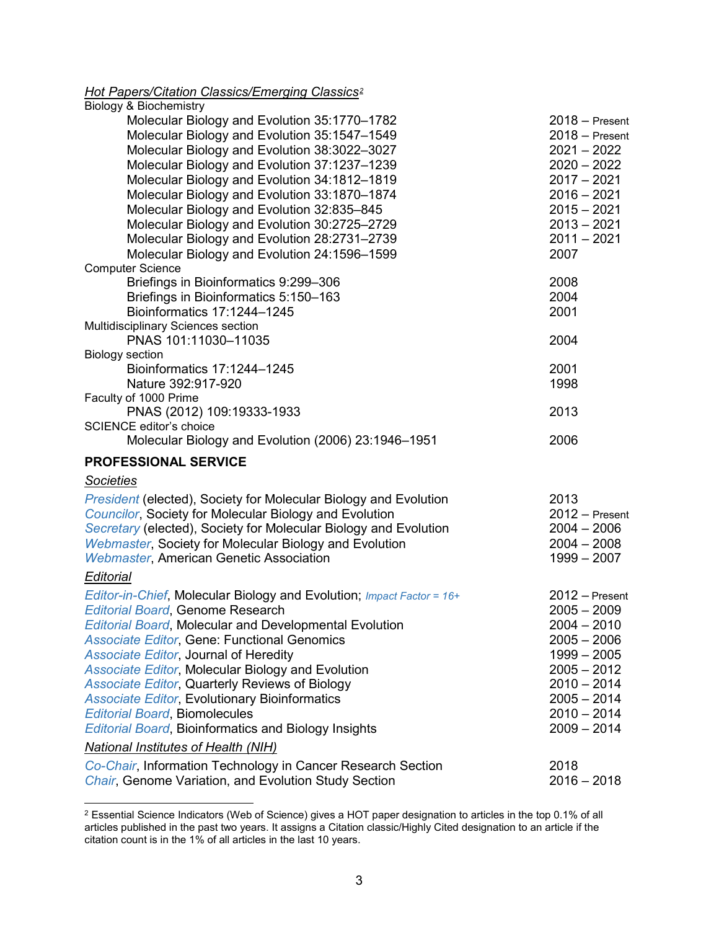# *Hot Papers/Citation Classics/Emerging Classics[2](#page-3-0)*

| <b>Biology &amp; Biochemistry</b>                                                            |                                      |
|----------------------------------------------------------------------------------------------|--------------------------------------|
| Molecular Biology and Evolution 35:1770-1782<br>Molecular Biology and Evolution 35:1547-1549 | $2018 -$ Present<br>$2018 -$ Present |
| Molecular Biology and Evolution 38:3022-3027                                                 | $2021 - 2022$                        |
| Molecular Biology and Evolution 37:1237-1239                                                 | $2020 - 2022$                        |
| Molecular Biology and Evolution 34:1812-1819                                                 | $2017 - 2021$                        |
| Molecular Biology and Evolution 33:1870-1874                                                 | $2016 - 2021$                        |
| Molecular Biology and Evolution 32:835-845                                                   | $2015 - 2021$                        |
| Molecular Biology and Evolution 30:2725-2729                                                 | $2013 - 2021$<br>$2011 - 2021$       |
| Molecular Biology and Evolution 28:2731-2739<br>Molecular Biology and Evolution 24:1596-1599 | 2007                                 |
| <b>Computer Science</b>                                                                      |                                      |
| Briefings in Bioinformatics 9:299-306                                                        | 2008                                 |
| Briefings in Bioinformatics 5:150-163                                                        | 2004                                 |
| Bioinformatics 17:1244-1245                                                                  | 2001                                 |
| Multidisciplinary Sciences section                                                           |                                      |
| PNAS 101:11030-11035                                                                         | 2004                                 |
| <b>Biology section</b>                                                                       |                                      |
| Bioinformatics 17:1244-1245                                                                  | 2001                                 |
| Nature 392:917-920                                                                           | 1998                                 |
| Faculty of 1000 Prime                                                                        |                                      |
| PNAS (2012) 109:19333-1933                                                                   | 2013                                 |
| <b>SCIENCE editor's choice</b><br>Molecular Biology and Evolution (2006) 23:1946-1951        | 2006                                 |
|                                                                                              |                                      |
| <b>PROFESSIONAL SERVICE</b>                                                                  |                                      |
| <b>Societies</b>                                                                             |                                      |
| <b>President (elected), Society for Molecular Biology and Evolution</b>                      | 2013                                 |
| <b>Councilor, Society for Molecular Biology and Evolution</b>                                | $2012 -$ Present                     |
| Secretary (elected), Society for Molecular Biology and Evolution                             | $2004 - 2006$                        |
| Webmaster, Society for Molecular Biology and Evolution                                       | $2004 - 2008$                        |
| <b>Webmaster, American Genetic Association</b>                                               | $1999 - 2007$                        |
| Editorial                                                                                    |                                      |
| Editor-in-Chief, Molecular Biology and Evolution; Impact Factor = 16+                        | $2012 -$ Present                     |
| <b>Editorial Board, Genome Research</b>                                                      | $2005 - 2009$                        |
| <b>Editorial Board, Molecular and Developmental Evolution</b>                                | $2004 - 2010$                        |
| <b>Associate Editor, Gene: Functional Genomics</b>                                           | $2005 - 2006$                        |
| Associate Editor, Journal of Heredity                                                        | $1999 - 2005$                        |
| <b>Associate Editor, Molecular Biology and Evolution</b>                                     | $2005 - 2012$                        |
| <b>Associate Editor, Quarterly Reviews of Biology</b>                                        | $2010 - 2014$                        |
| <b>Associate Editor, Evolutionary Bioinformatics</b>                                         | $2005 - 2014$                        |
| <b>Editorial Board, Biomolecules</b>                                                         | $2010 - 2014$                        |
| <b>Editorial Board, Bioinformatics and Biology Insights</b>                                  | $2009 - 2014$                        |
| National Institutes of Health (NIH)                                                          |                                      |
| Co-Chair, Information Technology in Cancer Research Section                                  | 2018                                 |

**Chair, Genome Variation, and Evolution Study Section 2016 - 2018** 2016 - 2018

<span id="page-3-0"></span> <sup>2</sup> Essential Science Indicators (Web of Science) gives a HOT paper designation to articles in the top 0.1% of all articles published in the past two years. It assigns a Citation classic/Highly Cited designation to an article if the citation count is in the 1% of all articles in the last 10 years.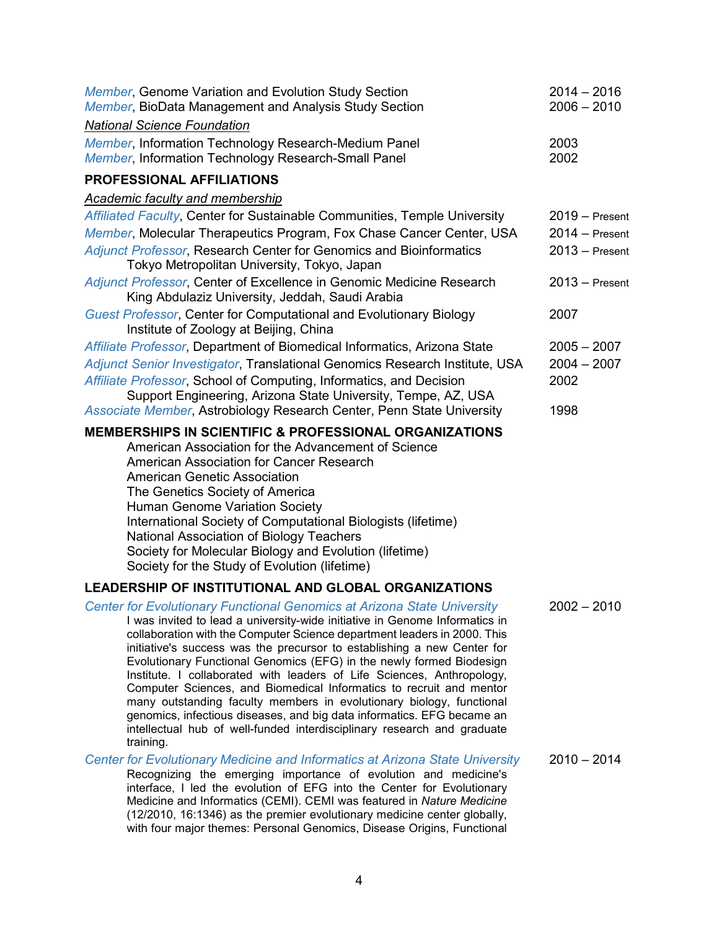| Member, Genome Variation and Evolution Study Section<br>Member, BioData Management and Analysis Study Section                                                                                                                                                                                                                                                                                                                                                                                                                                                                                                                                                                                                                                                                    | $2014 - 2016$<br>$2006 - 2010$ |
|----------------------------------------------------------------------------------------------------------------------------------------------------------------------------------------------------------------------------------------------------------------------------------------------------------------------------------------------------------------------------------------------------------------------------------------------------------------------------------------------------------------------------------------------------------------------------------------------------------------------------------------------------------------------------------------------------------------------------------------------------------------------------------|--------------------------------|
| <b>National Science Foundation</b>                                                                                                                                                                                                                                                                                                                                                                                                                                                                                                                                                                                                                                                                                                                                               |                                |
| Member, Information Technology Research-Medium Panel<br>Member, Information Technology Research-Small Panel                                                                                                                                                                                                                                                                                                                                                                                                                                                                                                                                                                                                                                                                      | 2003<br>2002                   |
| <b>PROFESSIONAL AFFILIATIONS</b>                                                                                                                                                                                                                                                                                                                                                                                                                                                                                                                                                                                                                                                                                                                                                 |                                |
| Academic faculty and membership                                                                                                                                                                                                                                                                                                                                                                                                                                                                                                                                                                                                                                                                                                                                                  |                                |
| Affiliated Faculty, Center for Sustainable Communities, Temple University                                                                                                                                                                                                                                                                                                                                                                                                                                                                                                                                                                                                                                                                                                        | $2019 -$ Present               |
| Member, Molecular Therapeutics Program, Fox Chase Cancer Center, USA                                                                                                                                                                                                                                                                                                                                                                                                                                                                                                                                                                                                                                                                                                             | $2014 -$ Present               |
| <b>Adjunct Professor, Research Center for Genomics and Bioinformatics</b><br>Tokyo Metropolitan University, Tokyo, Japan                                                                                                                                                                                                                                                                                                                                                                                                                                                                                                                                                                                                                                                         | $2013 -$ Present               |
| Adjunct Professor, Center of Excellence in Genomic Medicine Research<br>King Abdulaziz University, Jeddah, Saudi Arabia                                                                                                                                                                                                                                                                                                                                                                                                                                                                                                                                                                                                                                                          | $2013 -$ Present               |
| <b>Guest Professor, Center for Computational and Evolutionary Biology</b><br>Institute of Zoology at Beijing, China                                                                                                                                                                                                                                                                                                                                                                                                                                                                                                                                                                                                                                                              | 2007                           |
| Affiliate Professor, Department of Biomedical Informatics, Arizona State                                                                                                                                                                                                                                                                                                                                                                                                                                                                                                                                                                                                                                                                                                         | $2005 - 2007$                  |
| Adjunct Senior Investigator, Translational Genomics Research Institute, USA                                                                                                                                                                                                                                                                                                                                                                                                                                                                                                                                                                                                                                                                                                      | $2004 - 2007$                  |
| Affiliate Professor, School of Computing, Informatics, and Decision                                                                                                                                                                                                                                                                                                                                                                                                                                                                                                                                                                                                                                                                                                              | 2002                           |
| Support Engineering, Arizona State University, Tempe, AZ, USA<br>Associate Member, Astrobiology Research Center, Penn State University                                                                                                                                                                                                                                                                                                                                                                                                                                                                                                                                                                                                                                           | 1998                           |
| <b>MEMBERSHIPS IN SCIENTIFIC &amp; PROFESSIONAL ORGANIZATIONS</b><br>American Association for the Advancement of Science<br>American Association for Cancer Research<br><b>American Genetic Association</b><br>The Genetics Society of America<br><b>Human Genome Variation Society</b><br>International Society of Computational Biologists (lifetime)<br>National Association of Biology Teachers<br>Society for Molecular Biology and Evolution (lifetime)<br>Society for the Study of Evolution (lifetime)                                                                                                                                                                                                                                                                   |                                |
| <b>LEADERSHIP OF INSTITUTIONAL AND GLOBAL ORGANIZATIONS</b>                                                                                                                                                                                                                                                                                                                                                                                                                                                                                                                                                                                                                                                                                                                      |                                |
| Center for Evolutionary Functional Genomics at Arizona State University<br>I was invited to lead a university-wide initiative in Genome Informatics in<br>collaboration with the Computer Science department leaders in 2000. This<br>initiative's success was the precursor to establishing a new Center for<br>Evolutionary Functional Genomics (EFG) in the newly formed Biodesign<br>Institute. I collaborated with leaders of Life Sciences, Anthropology,<br>Computer Sciences, and Biomedical Informatics to recruit and mentor<br>many outstanding faculty members in evolutionary biology, functional<br>genomics, infectious diseases, and big data informatics. EFG became an<br>intellectual hub of well-funded interdisciplinary research and graduate<br>training. | $2002 - 2010$                  |
| Center for Evolutionary Medicine and Informatics at Arizona State University<br>Recognizing the emerging importance of evolution and medicine's<br>interface, I led the evolution of EFG into the Center for Evolutionary                                                                                                                                                                                                                                                                                                                                                                                                                                                                                                                                                        | $2010 - 2014$                  |

Medicine and Informatics (CEMI). CEMI was featured in *Nature Medicine* (12/2010, 16:1346) as the premier evolutionary medicine center globally, with four major themes: Personal Genomics, Disease Origins, Functional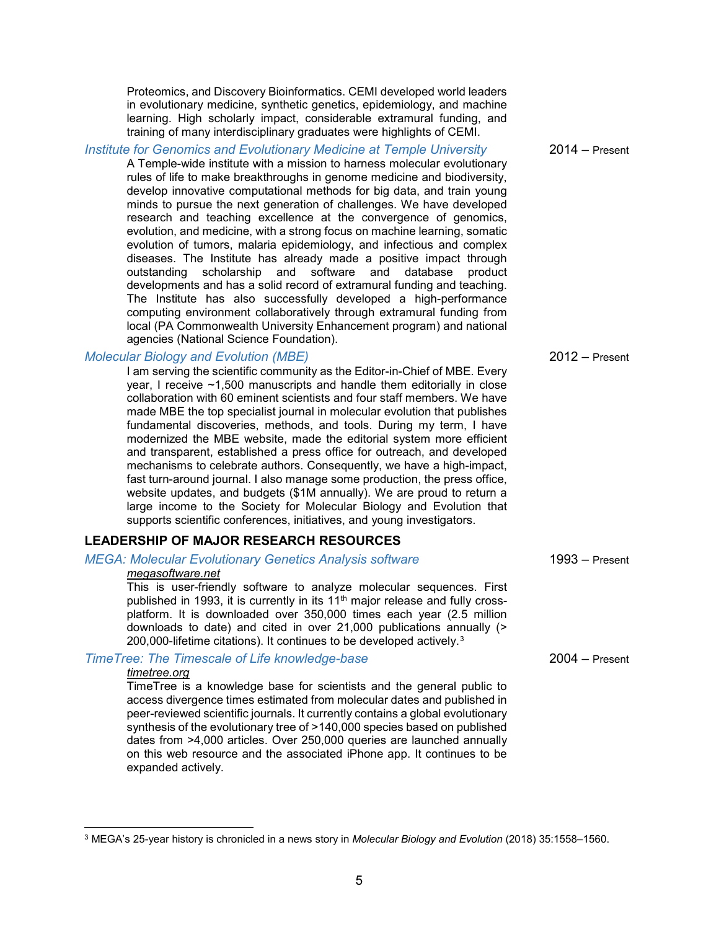Proteomics, and Discovery Bioinformatics. CEMI developed world leaders in evolutionary medicine, synthetic genetics, epidemiology, and machine learning. High scholarly impact, considerable extramural funding, and training of many interdisciplinary graduates were highlights of CEMI.

#### *Institute for Genomics and Evolutionary Medicine at Temple University* 2014 – Present

A Temple-wide institute with a mission to harness molecular evolutionary rules of life to make breakthroughs in genome medicine and biodiversity, develop innovative computational methods for big data, and train young minds to pursue the next generation of challenges. We have developed research and teaching excellence at the convergence of genomics, evolution, and medicine, with a strong focus on machine learning, somatic evolution of tumors, malaria epidemiology, and infectious and complex diseases. The Institute has already made a positive impact through outstanding scholarship and software and database product developments and has a solid record of extramural funding and teaching. The Institute has also successfully developed a high-performance computing environment collaboratively through extramural funding from local (PA Commonwealth University Enhancement program) and national agencies (National Science Foundation).

#### *Molecular Biology and Evolution (MBE)* 2012 – Present

I am serving the scientific community as the Editor-in-Chief of MBE. Every year, I receive ~1,500 manuscripts and handle them editorially in close collaboration with 60 eminent scientists and four staff members. We have made MBE the top specialist journal in molecular evolution that publishes fundamental discoveries, methods, and tools. During my term, I have modernized the MBE website, made the editorial system more efficient and transparent, established a press office for outreach, and developed mechanisms to celebrate authors. Consequently, we have a high-impact, fast turn-around journal. I also manage some production, the press office, website updates, and budgets (\$1M annually). We are proud to return a large income to the Society for Molecular Biology and Evolution that supports scientific conferences, initiatives, and young investigators.

#### **LEADERSHIP OF MAJOR RESEARCH RESOURCES**

# *MEGA: Molecular Evolutionary Genetics Analysis software* 1993 – Present

#### *megasoftware.net*

This is user-friendly software to analyze molecular sequences. First published in 1993, it is currently in its 11<sup>th</sup> major release and fully crossplatform. It is downloaded over 350,000 times each year (2.5 million downloads to date) and cited in over 21,000 publications annually (> 200,000-lifetime citations). It continues to be developed actively.[3](#page-5-0)

#### *TimeTree: The Timescale of Life knowledge-base* 2004 – Present

#### *timetree.org*

TimeTree is a knowledge base for scientists and the general public to access divergence times estimated from molecular dates and published in peer-reviewed scientific journals. It currently contains a global evolutionary synthesis of the evolutionary tree of >140,000 species based on published dates from >4,000 articles. Over 250,000 queries are launched annually on this web resource and the associated iPhone app. It continues to be expanded actively.

<span id="page-5-0"></span> <sup>3</sup> MEGA's 25-year history is chronicled in a news story in *Molecular Biology and Evolution* (2018) 35:1558–1560.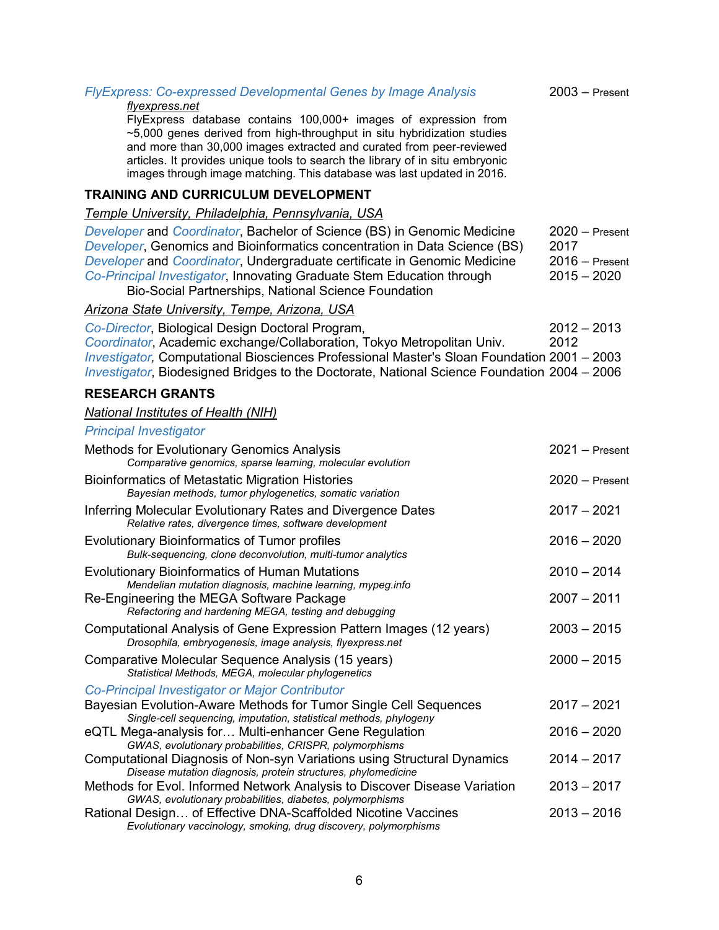# *FlyExpress: Co-expressed Developmental Genes by Image Analysis* 2003 – Present

#### *flyexpress.net*

FlyExpress database contains 100,000+ images of expression from ~5,000 genes derived from high-throughput in situ hybridization studies and more than 30,000 images extracted and curated from peer-reviewed articles. It provides unique tools to search the library of in situ embryonic images through image matching. This database was last updated in 2016.

#### **TRAINING AND CURRICULUM DEVELOPMENT**

#### *Temple University, Philadelphia, Pennsylvania, USA*

*Developer* and *Coordinator*, Bachelor of Science (BS) in Genomic Medicine 2020 – Present *Developer*, Genomics and Bioinformatics concentration in Data Science (BS) 2017 *Developer* and *Coordinator*, Undergraduate certificate in Genomic Medicine 2016 – Present *Co-Principal Investigator*, Innovating Graduate Stem Education through 2015 – 2020 Bio-Social Partnerships, National Science Foundation

#### *Arizona State University, Tempe, Arizona, USA*

*Co-Director*, Biological Design Doctoral Program, 2012 – 2013 **Coordinator, Academic exchange/Collaboration, Tokyo Metropolitan Univ.** *Investigator,* Computational Biosciences Professional Master's Sloan Foundation 2001 – 2003 *Investigator*, Biodesigned Bridges to the Doctorate, National Science Foundation 2004 – 2006

## **RESEARCH GRANTS**

#### *National Institutes of Health (NIH)*

#### *Principal Investigator*

| <b>Methods for Evolutionary Genomics Analysis</b><br>Comparative genomics, sparse learning, molecular evolution                          | $2021 -$ Present |
|------------------------------------------------------------------------------------------------------------------------------------------|------------------|
| <b>Bioinformatics of Metastatic Migration Histories</b><br>Bayesian methods, tumor phylogenetics, somatic variation                      | $2020 -$ Present |
| Inferring Molecular Evolutionary Rates and Divergence Dates<br>Relative rates, divergence times, software development                    | $2017 - 2021$    |
| <b>Evolutionary Bioinformatics of Tumor profiles</b><br>Bulk-sequencing, clone deconvolution, multi-tumor analytics                      | $2016 - 2020$    |
| <b>Evolutionary Bioinformatics of Human Mutations</b><br>Mendelian mutation diagnosis, machine learning, mypeg.info                      | $2010 - 2014$    |
| Re-Engineering the MEGA Software Package<br>Refactoring and hardening MEGA, testing and debugging                                        | $2007 - 2011$    |
| Computational Analysis of Gene Expression Pattern Images (12 years)<br>Drosophila, embryogenesis, image analysis, flyexpress.net         | $2003 - 2015$    |
| Comparative Molecular Sequence Analysis (15 years)<br>Statistical Methods, MEGA, molecular phylogenetics                                 | $2000 - 2015$    |
| Co-Principal Investigator or Major Contributor                                                                                           |                  |
| Bayesian Evolution-Aware Methods for Tumor Single Cell Sequences<br>Single-cell sequencing, imputation, statistical methods, phylogeny   | $2017 - 2021$    |
| eQTL Mega-analysis for Multi-enhancer Gene Regulation<br>GWAS, evolutionary probabilities, CRISPR, polymorphisms                         | $2016 - 2020$    |
| Computational Diagnosis of Non-syn Variations using Structural Dynamics<br>Disease mutation diagnosis, protein structures, phylomedicine | $2014 - 2017$    |
| Methods for Evol. Informed Network Analysis to Discover Disease Variation<br>GWAS, evolutionary probabilities, diabetes, polymorphisms   | $2013 - 2017$    |
| Rational Design of Effective DNA-Scaffolded Nicotine Vaccines<br>Evolutionary vaccinology, smoking, drug discovery, polymorphisms        | $2013 - 2016$    |

6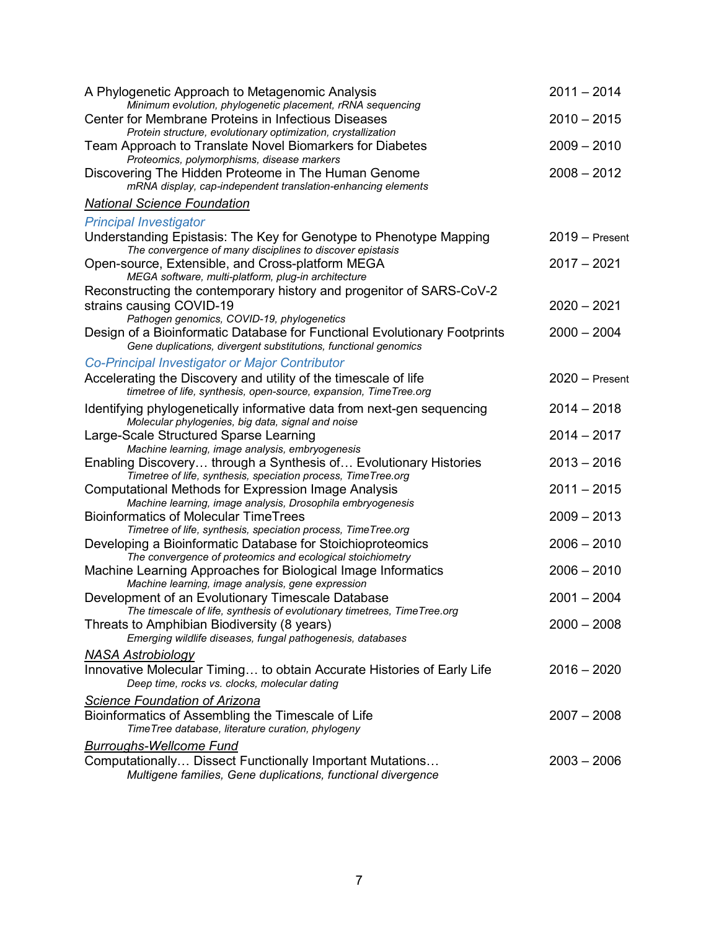| A Phylogenetic Approach to Metagenomic Analysis                                                                                                                                            | $2011 - 2014$    |
|--------------------------------------------------------------------------------------------------------------------------------------------------------------------------------------------|------------------|
| Minimum evolution, phylogenetic placement, rRNA sequencing<br>Center for Membrane Proteins in Infectious Diseases<br>Protein structure, evolutionary optimization, crystallization         | $2010 - 2015$    |
| Team Approach to Translate Novel Biomarkers for Diabetes<br>Proteomics, polymorphisms, disease markers                                                                                     | $2009 - 2010$    |
| Discovering The Hidden Proteome in The Human Genome<br>mRNA display, cap-independent translation-enhancing elements                                                                        | $2008 - 2012$    |
| <b>National Science Foundation</b>                                                                                                                                                         |                  |
| <b>Principal Investigator</b>                                                                                                                                                              |                  |
| Understanding Epistasis: The Key for Genotype to Phenotype Mapping<br>The convergence of many disciplines to discover epistasis                                                            | $2019 -$ Present |
| Open-source, Extensible, and Cross-platform MEGA<br>MEGA software, multi-platform, plug-in architecture                                                                                    | $2017 - 2021$    |
| Reconstructing the contemporary history and progenitor of SARS-CoV-2<br>strains causing COVID-19                                                                                           | $2020 - 2021$    |
| Pathogen genomics, COVID-19, phylogenetics<br>Design of a Bioinformatic Database for Functional Evolutionary Footprints<br>Gene duplications, divergent substitutions, functional genomics | $2000 - 2004$    |
| Co-Principal Investigator or Major Contributor                                                                                                                                             |                  |
| Accelerating the Discovery and utility of the timescale of life<br>timetree of life, synthesis, open-source, expansion, TimeTree.org                                                       | $2020 -$ Present |
| Identifying phylogenetically informative data from next-gen sequencing<br>Molecular phylogenies, big data, signal and noise                                                                | $2014 - 2018$    |
| Large-Scale Structured Sparse Learning<br>Machine learning, image analysis, embryogenesis                                                                                                  | $2014 - 2017$    |
| Enabling Discovery through a Synthesis of Evolutionary Histories<br>Timetree of life, synthesis, speciation process, TimeTree.org                                                          | $2013 - 2016$    |
| Computational Methods for Expression Image Analysis<br>Machine learning, image analysis, Drosophila embryogenesis                                                                          | $2011 - 2015$    |
| <b>Bioinformatics of Molecular TimeTrees</b>                                                                                                                                               | $2009 - 2013$    |
| Timetree of life, synthesis, speciation process, TimeTree.org<br>Developing a Bioinformatic Database for Stoichioproteomics<br>The convergence of proteomics and ecological stoichiometry  | $2006 - 2010$    |
| Machine Learning Approaches for Biological Image Informatics<br>Machine learning, image analysis, gene expression                                                                          | $2006 - 2010$    |
| Development of an Evolutionary Timescale Database<br>The timescale of life, synthesis of evolutionary timetrees, TimeTree.org                                                              | $2001 - 2004$    |
| Threats to Amphibian Biodiversity (8 years)<br>Emerging wildlife diseases, fungal pathogenesis, databases                                                                                  | $2000 - 2008$    |
| <u>NASA Astrobiology</u><br>Innovative Molecular Timing to obtain Accurate Histories of Early Life<br>Deep time, rocks vs. clocks, molecular dating                                        | $2016 - 2020$    |
| Science Foundation of Arizona<br>Bioinformatics of Assembling the Timescale of Life<br>TimeTree database, literature curation, phylogeny                                                   | $2007 - 2008$    |
| <b>Burroughs-Wellcome Fund</b>                                                                                                                                                             |                  |
| Computationally Dissect Functionally Important Mutations<br>Multigene families, Gene duplications, functional divergence                                                                   | $2003 - 2006$    |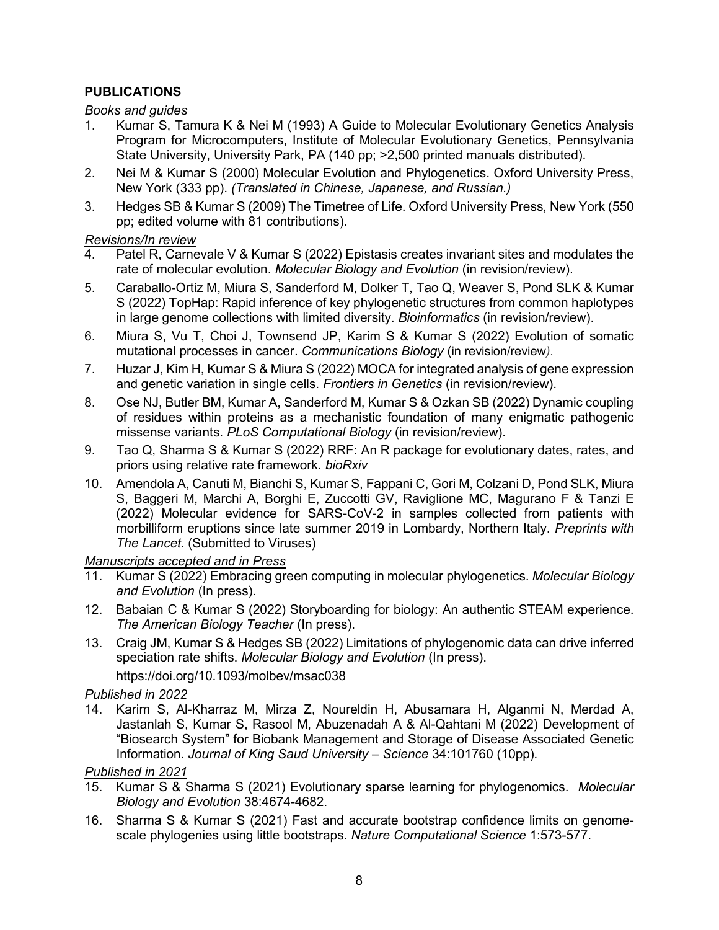# **PUBLICATIONS**

*Books and guides*

- 1. Kumar S, Tamura K & Nei M (1993) A Guide to Molecular Evolutionary Genetics Analysis Program for Microcomputers, Institute of Molecular Evolutionary Genetics, Pennsylvania State University, University Park, PA (140 pp; >2,500 printed manuals distributed).
- 2. Nei M & Kumar S (2000) Molecular Evolution and Phylogenetics. Oxford University Press, New York (333 pp). *(Translated in Chinese, Japanese, and Russian.)*
- 3. Hedges SB & Kumar S (2009) The Timetree of Life. Oxford University Press, New York (550 pp; edited volume with 81 contributions).

### *Revisions/In review*

- 4. Patel R, Carnevale V & Kumar S (2022) Epistasis creates invariant sites and modulates the rate of molecular evolution. *Molecular Biology and Evolution* (in revision/review).
- 5. Caraballo-Ortiz M, Miura S, Sanderford M, Dolker T, Tao Q, Weaver S, Pond SLK & Kumar S (2022) TopHap: Rapid inference of key phylogenetic structures from common haplotypes in large genome collections with limited diversity. *Bioinformatics* (in revision/review).
- 6. Miura S, Vu T, Choi J, Townsend JP, Karim S & Kumar S (2022) Evolution of somatic mutational processes in cancer. *Communications Biology* (in revision/review*).*
- 7. Huzar J, Kim H, Kumar S & Miura S (2022) MOCA for integrated analysis of gene expression and genetic variation in single cells. *Frontiers in Genetics* (in revision/review).
- 8. Ose NJ, Butler BM, Kumar A, Sanderford M, Kumar S & Ozkan SB (2022) Dynamic coupling of residues within proteins as a mechanistic foundation of many enigmatic pathogenic missense variants. *PLoS Computational Biology* (in revision/review).
- 9. Tao Q, Sharma S & Kumar S (2022) RRF: An R package for evolutionary dates, rates, and priors using relative rate framework. *bioRxiv*
- 10. Amendola A, Canuti M, Bianchi S, Kumar S, Fappani C, Gori M, Colzani D, Pond SLK, Miura S, Baggeri M, Marchi A, Borghi E, Zuccotti GV, Raviglione MC, Magurano F & Tanzi E (2022) Molecular evidence for SARS-CoV-2 in samples collected from patients with morbilliform eruptions since late summer 2019 in Lombardy, Northern Italy. *Preprints with The Lancet*. (Submitted to Viruses)

## *Manuscripts accepted and in Press*

- 11. Kumar S (2022) Embracing green computing in molecular phylogenetics. *Molecular Biology and Evolution* (In press).
- 12. Babaian C & Kumar S (2022) Storyboarding for biology: An authentic STEAM experience. *The American Biology Teacher* (In press).
- 13. Craig JM, Kumar S & Hedges SB (2022) Limitations of phylogenomic data can drive inferred speciation rate shifts. *Molecular Biology and Evolution* (In press).

https://doi.org/10.1093/molbev/msac038

# *Published in 2022*

14. Karim S, Al-Kharraz M, Mirza Z, Noureldin H, Abusamara H, Alganmi N, Merdad A, Jastanlah S, Kumar S, Rasool M, Abuzenadah A & Al-Qahtani M (2022) Development of "Biosearch System" for Biobank Management and Storage of Disease Associated Genetic Information. *Journal of King Saud University – Science* 34:101760 (10pp)*.*

- 15. Kumar S & Sharma S (2021) Evolutionary sparse learning for phylogenomics. *Molecular Biology and Evolution* 38:4674-4682.
- 16. Sharma S & Kumar S (2021) Fast and accurate bootstrap confidence limits on genomescale phylogenies using little bootstraps. *Nature Computational Science* 1:573-577.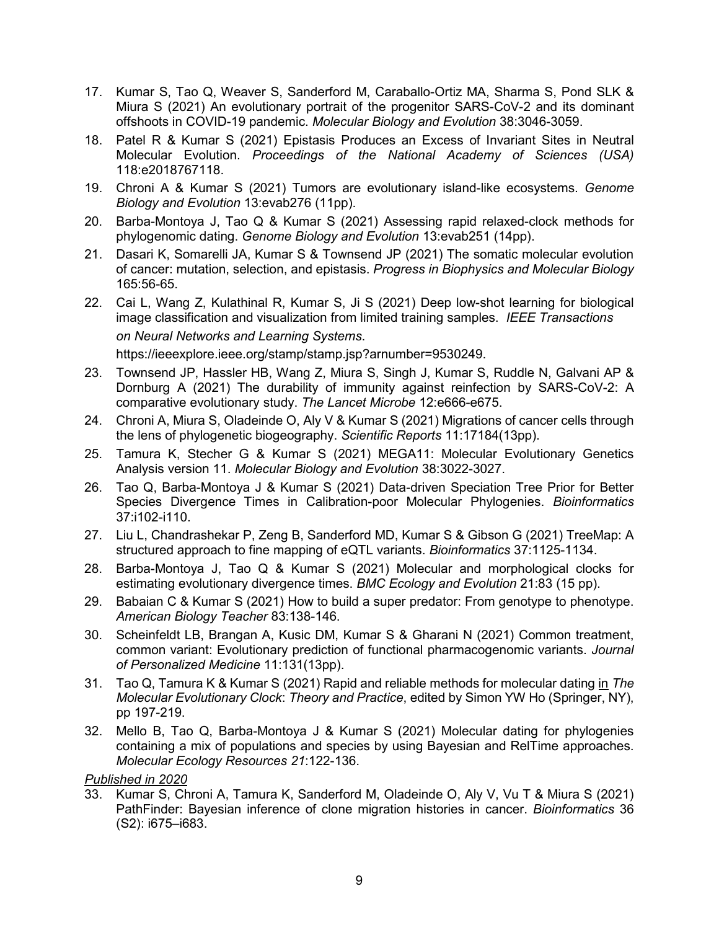- 17. Kumar S, Tao Q, Weaver S, Sanderford M, Caraballo-Ortiz MA, Sharma S, Pond SLK & Miura S (2021) An evolutionary portrait of the progenitor SARS-CoV-2 and its dominant offshoots in COVID-19 pandemic. *Molecular Biology and Evolution* 38:3046-3059.
- 18. Patel R & Kumar S (2021) Epistasis Produces an Excess of Invariant Sites in Neutral Molecular Evolution. *Proceedings of the National Academy of Sciences (USA)* 118:e2018767118.
- 19. Chroni A & Kumar S (2021) Tumors are evolutionary island-like ecosystems. *Genome Biology and Evolution* 13:evab276 (11pp).
- 20. Barba-Montoya J, Tao Q & Kumar S (2021) Assessing rapid relaxed-clock methods for phylogenomic dating. *Genome Biology and Evolution* 13:evab251 (14pp).
- 21. Dasari K, Somarelli JA, Kumar S & Townsend JP (2021) The somatic molecular evolution of cancer: mutation, selection, and epistasis. *Progress in Biophysics and Molecular Biology* 165:56-65.
- 22. Cai L, Wang Z, Kulathinal R, Kumar S, Ji S (2021) Deep low-shot learning for biological image classification and visualization from limited training samples. *IEEE Transactions on Neural Networks and Learning Systems*. https://ieeexplore.ieee.org/stamp/stamp.jsp?arnumber=9530249.
- 23. Townsend JP, Hassler HB, Wang Z, Miura S, Singh J, Kumar S, Ruddle N, Galvani AP & Dornburg A (2021) The durability of immunity against reinfection by SARS-CoV-2: A comparative evolutionary study. *The Lancet Microbe* 12:e666-e675.
- 24. Chroni A, Miura S, Oladeinde O, Aly V & Kumar S (2021) Migrations of cancer cells through the lens of phylogenetic biogeography. *Scientific Reports* 11:17184(13pp).
- 25. Tamura K, Stecher G & Kumar S (2021) MEGA11: Molecular Evolutionary Genetics Analysis version 11. *Molecular Biology and Evolution* 38:3022-3027.
- 26. Tao Q, Barba-Montoya J & Kumar S (2021) Data-driven Speciation Tree Prior for Better Species Divergence Times in Calibration-poor Molecular Phylogenies. *Bioinformatics* 37:i102-i110.
- 27. Liu L, Chandrashekar P, Zeng B, Sanderford MD, Kumar S & Gibson G (2021) TreeMap: A structured approach to fine mapping of eQTL variants. *Bioinformatics* 37:1125-1134.
- 28. Barba-Montoya J, Tao Q & Kumar S (2021) Molecular and morphological clocks for estimating evolutionary divergence times. *BMC Ecology and Evolution* 21:83 (15 pp).
- 29. Babaian C & Kumar S (2021) How to build a super predator: From genotype to phenotype. *American Biology Teacher* 83:138-146.
- 30. Scheinfeldt LB, Brangan A, Kusic DM, Kumar S & Gharani N (2021) Common treatment, common variant: Evolutionary prediction of functional pharmacogenomic variants. *Journal of Personalized Medicine* 11:131(13pp).
- 31. Tao Q, Tamura K & Kumar S (2021) Rapid and reliable methods for molecular dating in The *Molecular Evolutionary Clock*: *Theory and Practice*, edited by Simon YW Ho (Springer, NY), pp 197-219.
- 32. Mello B, Tao Q, Barba-Montoya J & Kumar S (2021) Molecular dating for phylogenies containing a mix of populations and species by using Bayesian and RelTime approaches. *Molecular Ecology Resources 21*:122-136.

33. Kumar S, Chroni A, Tamura K, Sanderford M, Oladeinde O, Aly V, Vu T & Miura S (2021) PathFinder: Bayesian inference of clone migration histories in cancer. *Bioinformatics* 36 (S2): i675–i683.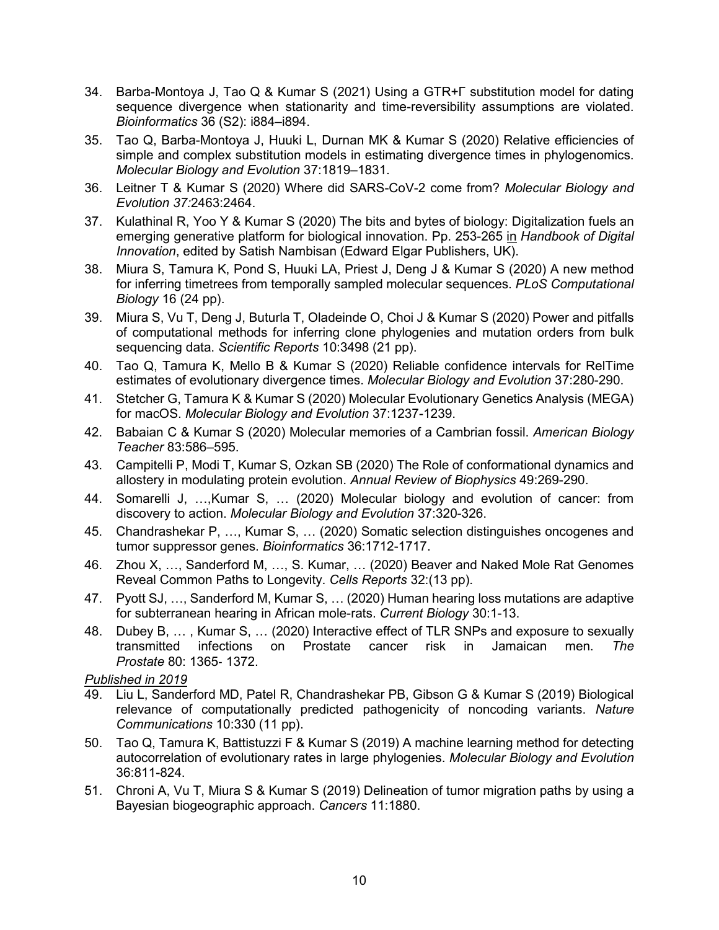- 34. Barba-Montoya J, Tao Q & Kumar S (2021) Using a GTR+Γ substitution model for dating sequence divergence when stationarity and time-reversibility assumptions are violated. *Bioinformatics* 36 (S2): i884–i894.
- 35. Tao Q, Barba-Montoya J, Huuki L, Durnan MK & Kumar S (2020) Relative efficiencies of simple and complex substitution models in estimating divergence times in phylogenomics. *Molecular Biology and Evolution* 37:1819–1831.
- 36. Leitner T & Kumar S (2020) Where did SARS-CoV-2 come from? *Molecular Biology and Evolution 37:*2463:2464.
- 37. Kulathinal R, Yoo Y & Kumar S (2020) The bits and bytes of biology: Digitalization fuels an emerging generative platform for biological innovation. Pp. 253-265 in *Handbook of Digital Innovation*, edited by Satish Nambisan (Edward Elgar Publishers, UK).
- 38. Miura S, Tamura K, Pond S, Huuki LA, Priest J, Deng J & Kumar S (2020) A new method for inferring timetrees from temporally sampled molecular sequences. *PLoS Computational Biology* 16 (24 pp).
- 39. Miura S, Vu T, Deng J, Buturla T, Oladeinde O, Choi J & Kumar S (2020) Power and pitfalls of computational methods for inferring clone phylogenies and mutation orders from bulk sequencing data. *Scientific Reports* 10:3498 (21 pp).
- 40. Tao Q, Tamura K, Mello B & Kumar S (2020) Reliable confidence intervals for RelTime estimates of evolutionary divergence times. *Molecular Biology and Evolution* 37:280-290.
- 41. Stetcher G, Tamura K & Kumar S (2020) Molecular Evolutionary Genetics Analysis (MEGA) for macOS. *Molecular Biology and Evolution* 37:1237-1239.
- 42. Babaian C & Kumar S (2020) Molecular memories of a Cambrian fossil. *American Biology Teacher* 83:586–595.
- 43. Campitelli P, Modi T, Kumar S, Ozkan SB (2020) The Role of conformational dynamics and allostery in modulating protein evolution. *Annual Review of Biophysics* 49:269-290.
- 44. Somarelli J, …,Kumar S, … (2020) Molecular biology and evolution of cancer: from discovery to action. *Molecular Biology and Evolution* 37:320-326.
- 45. Chandrashekar P, …, Kumar S, … (2020) Somatic selection distinguishes oncogenes and tumor suppressor genes. *Bioinformatics* 36:1712-1717.
- 46. Zhou X, …, Sanderford M, …, S. Kumar, … (2020) Beaver and Naked Mole Rat Genomes Reveal Common Paths to Longevity. *Cells Reports* 32:(13 pp).
- 47. Pyott SJ, …, Sanderford M, Kumar S, … (2020) Human hearing loss mutations are adaptive for subterranean hearing in African mole-rats. *Current Biology* 30:1-13.
- 48. Dubey B, ..., Kumar S, ... (2020) Interactive effect of TLR SNPs and exposure to sexually<br>transmitted infections on Prostate cancer risk in Jamaican men. The transmitted infections on Prostate cancer risk in Jamaican men. *The Prostate* 80: 1365‐ 1372.

- 49. Liu L, Sanderford MD, Patel R, Chandrashekar PB, Gibson G & Kumar S (2019) Biological relevance of computationally predicted pathogenicity of noncoding variants. *Nature Communications* 10:330 (11 pp).
- 50. Tao Q, Tamura K, Battistuzzi F & Kumar S (2019) A machine learning method for detecting autocorrelation of evolutionary rates in large phylogenies. *Molecular Biology and Evolution* 36:811-824.
- 51. Chroni A, Vu T, Miura S & Kumar S (2019) Delineation of tumor migration paths by using a Bayesian biogeographic approach. *Cancers* 11:1880.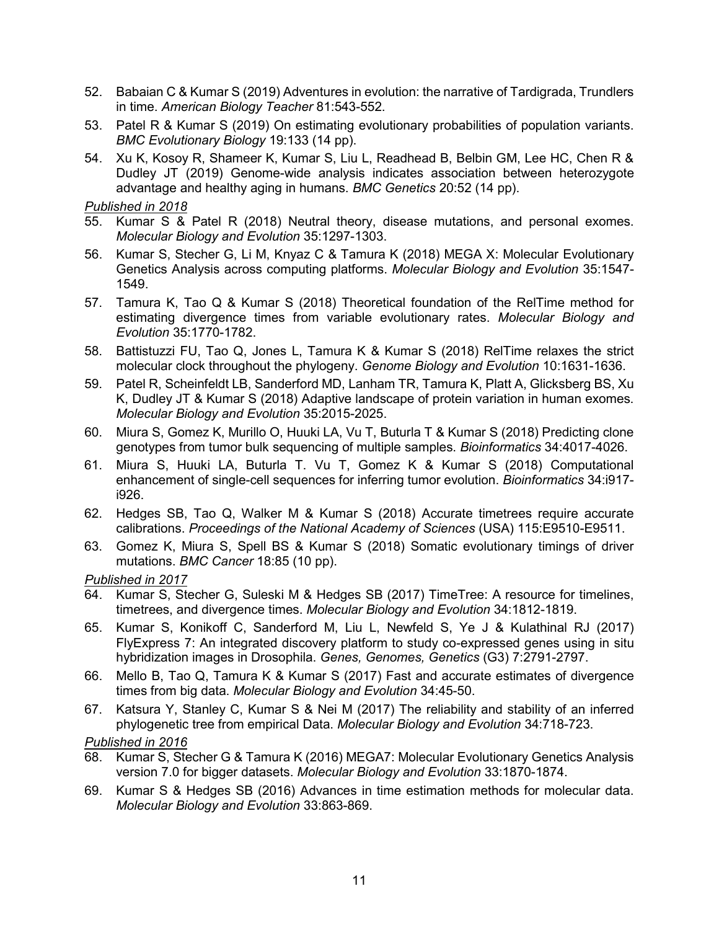- 52. Babaian C & Kumar S (2019) Adventures in evolution: the narrative of Tardigrada, Trundlers in time. *American Biology Teacher* 81:543-552.
- 53. Patel R & Kumar S (2019) On estimating evolutionary probabilities of population variants. *BMC Evolutionary Biology* 19:133 (14 pp).
- 54. Xu K, Kosoy R, Shameer K, Kumar S, Liu L, Readhead B, Belbin GM, Lee HC, Chen R & Dudley JT (2019) Genome-wide analysis indicates association between heterozygote advantage and healthy aging in humans. *BMC Genetics* 20:52 (14 pp).

- 55. Kumar S & Patel R (2018) Neutral theory, disease mutations, and personal exomes. *Molecular Biology and Evolution* 35:1297-1303.
- 56. Kumar S, Stecher G, Li M, Knyaz C & Tamura K (2018) MEGA X: Molecular Evolutionary Genetics Analysis across computing platforms. *Molecular Biology and Evolution* 35:1547- 1549.
- 57. Tamura K, Tao Q & Kumar S (2018) Theoretical foundation of the RelTime method for estimating divergence times from variable evolutionary rates. *Molecular Biology and Evolution* 35:1770-1782.
- 58. Battistuzzi FU, Tao Q, Jones L, Tamura K & Kumar S (2018) RelTime relaxes the strict molecular clock throughout the phylogeny. *Genome Biology and Evolution* 10:1631-1636.
- 59. Patel R, Scheinfeldt LB, Sanderford MD, Lanham TR, Tamura K, Platt A, Glicksberg BS, Xu K, Dudley JT & Kumar S (2018) Adaptive landscape of protein variation in human exomes. *Molecular Biology and Evolution* 35:2015-2025.
- 60. Miura S, Gomez K, Murillo O, Huuki LA, Vu T, Buturla T & Kumar S (2018) Predicting clone genotypes from tumor bulk sequencing of multiple samples. *Bioinformatics* 34:4017-4026.
- 61. Miura S, Huuki LA, Buturla T. Vu T, Gomez K & Kumar S (2018) Computational enhancement of single-cell sequences for inferring tumor evolution. *Bioinformatics* 34:i917 i926.
- 62. Hedges SB, Tao Q, Walker M & Kumar S (2018) Accurate timetrees require accurate calibrations. *Proceedings of the National Academy of Sciences* (USA) 115:E9510-E9511.
- 63. Gomez K, Miura S, Spell BS & Kumar S (2018) Somatic evolutionary timings of driver mutations. *BMC Cancer* 18:85 (10 pp).

*Published in 2017*

- 64. Kumar S, Stecher G, Suleski M & Hedges SB (2017) TimeTree: A resource for timelines, timetrees, and divergence times. *Molecular Biology and Evolution* 34:1812-1819.
- 65. Kumar S, Konikoff C, Sanderford M, Liu L, Newfeld S, Ye J & Kulathinal RJ (2017) FlyExpress 7: An integrated discovery platform to study co-expressed genes using in situ hybridization images in Drosophila. *Genes, Genomes, Genetics* (G3) 7:2791-2797.
- 66. Mello B, Tao Q, Tamura K & Kumar S (2017) Fast and accurate estimates of divergence times from big data. *Molecular Biology and Evolution* 34:45-50.
- 67. Katsura Y, Stanley C, Kumar S & Nei M (2017) The reliability and stability of an inferred phylogenetic tree from empirical Data. *Molecular Biology and Evolution* 34:718-723.

- 68. Kumar S, Stecher G & Tamura K (2016) MEGA7: Molecular Evolutionary Genetics Analysis version 7.0 for bigger datasets. *Molecular Biology and Evolution* 33:1870-1874.
- 69. Kumar S & Hedges SB (2016) Advances in time estimation methods for molecular data. *Molecular Biology and Evolution* 33:863-869.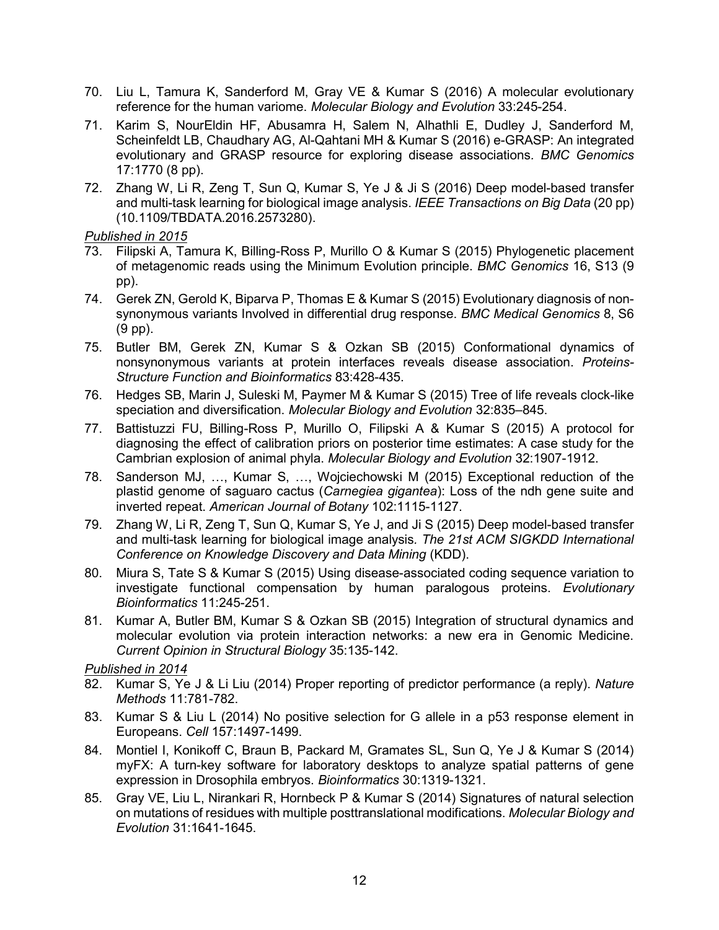- 70. Liu L, Tamura K, Sanderford M, Gray VE & Kumar S (2016) A molecular evolutionary reference for the human variome. *Molecular Biology and Evolution* 33:245-254.
- 71. Karim S, NourEldin HF, Abusamra H, Salem N, Alhathli E, Dudley J, Sanderford M, Scheinfeldt LB, Chaudhary AG, Al-Qahtani MH & Kumar S (2016) e-GRASP: An integrated evolutionary and GRASP resource for exploring disease associations*. BMC Genomics* 17:1770 (8 pp).
- 72. Zhang W, Li R, Zeng T, Sun Q, Kumar S, Ye J & Ji S (2016) Deep model-based transfer and multi-task learning for biological image analysis. *IEEE Transactions on Big Data* (20 pp) (10.1109/TBDATA.2016.2573280).

- 73. Filipski A, Tamura K, Billing-Ross P, Murillo O & Kumar S (2015) Phylogenetic placement of metagenomic reads using the Minimum Evolution principle. *BMC Genomics* 16, S13 (9 pp).
- 74. Gerek ZN, Gerold K, Biparva P, Thomas E & Kumar S (2015) Evolutionary diagnosis of nonsynonymous variants Involved in differential drug response. *BMC Medical Genomics* 8, S6 (9 pp).
- 75. Butler BM, Gerek ZN, Kumar S & Ozkan SB (2015) Conformational dynamics of nonsynonymous variants at protein interfaces reveals disease association. *Proteins-Structure Function and Bioinformatics* 83:428-435.
- 76. Hedges SB, Marin J, Suleski M, Paymer M & Kumar S (2015) Tree of life reveals clock-like speciation and diversification. *Molecular Biology and Evolution* 32:835–845.
- 77. Battistuzzi FU, Billing-Ross P, Murillo O, Filipski A & Kumar S (2015) A protocol for diagnosing the effect of calibration priors on posterior time estimates: A case study for the Cambrian explosion of animal phyla. *Molecular Biology and Evolution* 32:1907-1912.
- 78. Sanderson MJ, …, Kumar S, …, Wojciechowski M (2015) Exceptional reduction of the plastid genome of saguaro cactus (*Carnegiea gigantea*): Loss of the ndh gene suite and inverted repeat. *American Journal of Botany* 102:1115-1127.
- 79. Zhang W, Li R, Zeng T, Sun Q, Kumar S, Ye J, and Ji S (2015) Deep model-based transfer and multi-task learning for biological image analysis*. The 21st ACM SIGKDD International Conference on Knowledge Discovery and Data Mining* (KDD).
- 80. Miura S, Tate S & Kumar S (2015) Using disease-associated coding sequence variation to investigate functional compensation by human paralogous proteins. *Evolutionary Bioinformatics* 11:245-251.
- 81. Kumar A, Butler BM, Kumar S & Ozkan SB (2015) Integration of structural dynamics and molecular evolution via protein interaction networks: a new era in Genomic Medicine. *Current Opinion in Structural Biology* 35:135-142.

- 82. Kumar S, Ye J & Li Liu (2014) Proper reporting of predictor performance (a reply). *Nature Methods* 11:781-782.
- 83. Kumar S & Liu L (2014) No positive selection for G allele in a p53 response element in Europeans. *Cell* 157:1497-1499.
- 84. Montiel I, Konikoff C, Braun B, Packard M, Gramates SL, Sun Q, Ye J & Kumar S (2014) myFX: A turn-key software for laboratory desktops to analyze spatial patterns of gene expression in Drosophila embryos. *Bioinformatics* 30:1319-1321.
- 85. Gray VE, Liu L, Nirankari R, Hornbeck P & Kumar S (2014) Signatures of natural selection on mutations of residues with multiple posttranslational modifications. *Molecular Biology and Evolution* 31:1641-1645.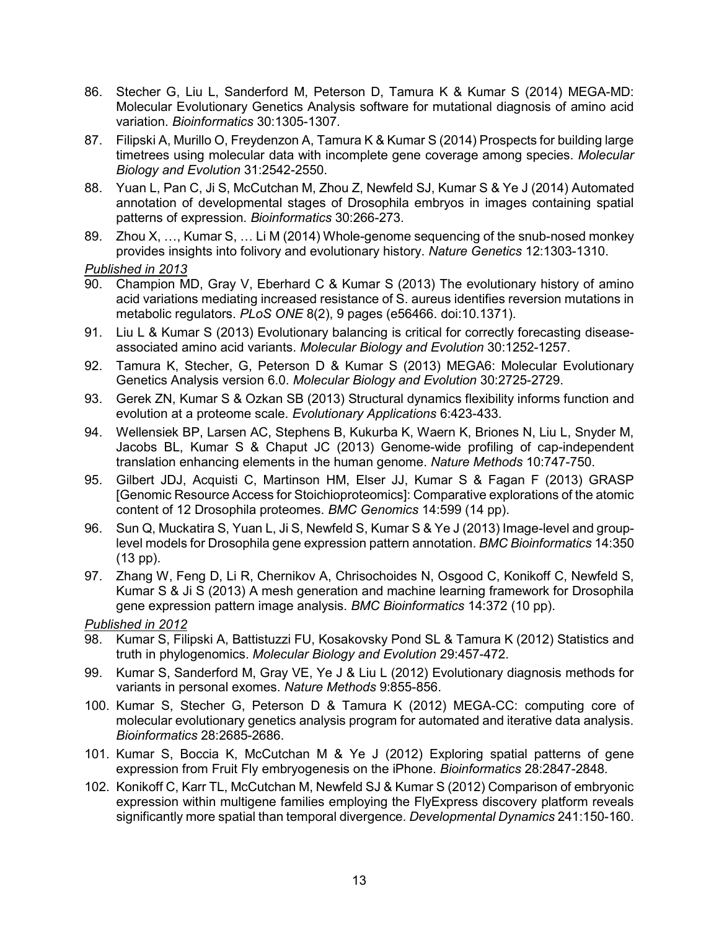- 86. Stecher G, Liu L, Sanderford M, Peterson D, Tamura K & Kumar S (2014) MEGA-MD: Molecular Evolutionary Genetics Analysis software for mutational diagnosis of amino acid variation. *Bioinformatics* 30:1305-1307.
- 87. Filipski A, Murillo O, Freydenzon A, Tamura K & Kumar S (2014) Prospects for building large timetrees using molecular data with incomplete gene coverage among species. *Molecular Biology and Evolution* 31:2542-2550.
- 88. Yuan L, Pan C, Ji S, McCutchan M, Zhou Z, Newfeld SJ, Kumar S & Ye J (2014) Automated annotation of developmental stages of Drosophila embryos in images containing spatial patterns of expression. *Bioinformatics* 30:266-273.
- 89. Zhou X, …, Kumar S, … Li M (2014) Whole-genome sequencing of the snub-nosed monkey provides insights into folivory and evolutionary history. *Nature Genetics* 12:1303-1310.

- 90. Champion MD, Gray V, Eberhard C & Kumar S (2013) The evolutionary history of amino acid variations mediating increased resistance of S. aureus identifies reversion mutations in metabolic regulators. *PLoS ONE* 8(2), 9 pages (e56466. doi:10.1371).
- 91. Liu L & Kumar S (2013) Evolutionary balancing is critical for correctly forecasting diseaseassociated amino acid variants. *Molecular Biology and Evolution* 30:1252-1257.
- 92. Tamura K, Stecher, G, Peterson D & Kumar S (2013) MEGA6: Molecular Evolutionary Genetics Analysis version 6.0. *Molecular Biology and Evolution* 30:2725-2729.
- 93. Gerek ZN, Kumar S & Ozkan SB (2013) Structural dynamics flexibility informs function and evolution at a proteome scale. *Evolutionary Applications* 6:423-433.
- 94. Wellensiek BP, Larsen AC, Stephens B, Kukurba K, Waern K, Briones N, Liu L, Snyder M, Jacobs BL, Kumar S & Chaput JC (2013) Genome-wide profiling of cap-independent translation enhancing elements in the human genome. *Nature Methods* 10:747-750.
- 95. Gilbert JDJ, Acquisti C, Martinson HM, Elser JJ, Kumar S & Fagan F (2013) GRASP [Genomic Resource Access for Stoichioproteomics]: Comparative explorations of the atomic content of 12 Drosophila proteomes. *BMC Genomics* 14:599 (14 pp).
- 96. Sun Q, Muckatira S, Yuan L, Ji S, Newfeld S, Kumar S & Ye J (2013) Image-level and grouplevel models for Drosophila gene expression pattern annotation. *BMC Bioinformatics* 14:350 (13 pp).
- 97. Zhang W, Feng D, Li R, Chernikov A, Chrisochoides N, Osgood C, Konikoff C, Newfeld S, Kumar S & Ji S (2013) A mesh generation and machine learning framework for Drosophila gene expression pattern image analysis. *BMC Bioinformatics* 14:372 (10 pp).

- 98. Kumar S, Filipski A, Battistuzzi FU, Kosakovsky Pond SL & Tamura K (2012) Statistics and truth in phylogenomics. *Molecular Biology and Evolution* 29:457-472.
- 99. Kumar S, Sanderford M, Gray VE, Ye J & Liu L (2012) Evolutionary diagnosis methods for variants in personal exomes. *Nature Methods* 9:855-856.
- 100. Kumar S, Stecher G, Peterson D & Tamura K (2012) MEGA-CC: computing core of molecular evolutionary genetics analysis program for automated and iterative data analysis. *Bioinformatics* 28:2685-2686.
- 101. Kumar S, Boccia K, McCutchan M & Ye J (2012) Exploring spatial patterns of gene expression from Fruit Fly embryogenesis on the iPhone. *Bioinformatics* 28:2847-2848.
- 102. Konikoff C, Karr TL, McCutchan M, Newfeld SJ & Kumar S (2012) Comparison of embryonic expression within multigene families employing the FlyExpress discovery platform reveals significantly more spatial than temporal divergence. *Developmental Dynamics* 241:150-160.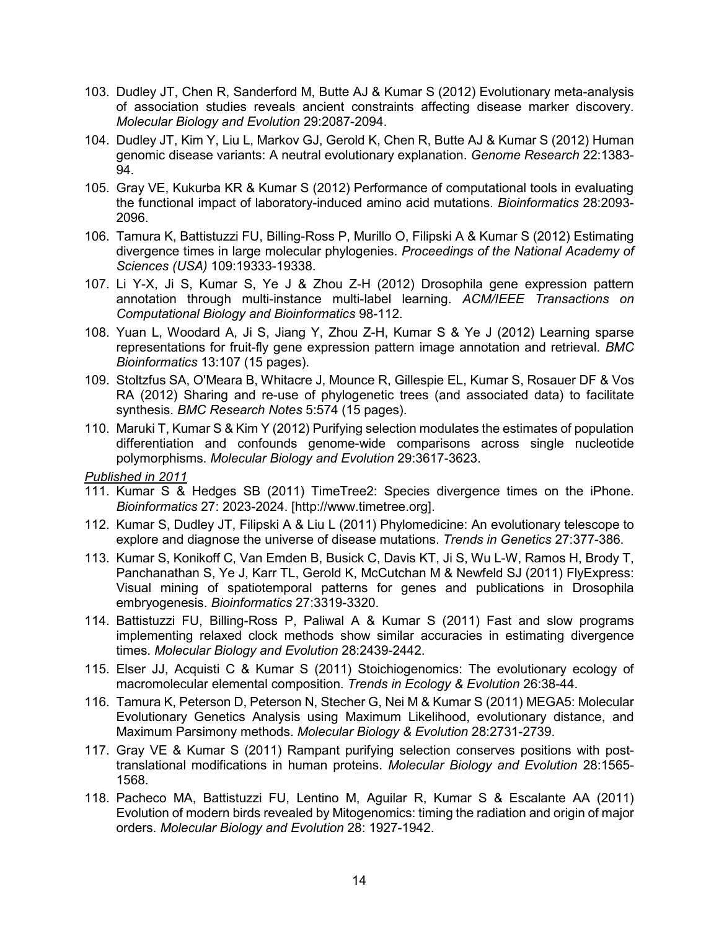- 103. Dudley JT, Chen R, Sanderford M, Butte AJ & Kumar S (2012) Evolutionary meta-analysis of association studies reveals ancient constraints affecting disease marker discovery. *Molecular Biology and Evolution* 29:2087-2094.
- 104. Dudley JT, Kim Y, Liu L, Markov GJ, Gerold K, Chen R, Butte AJ & Kumar S (2012) Human genomic disease variants: A neutral evolutionary explanation. *Genome Research* 22:1383- 94.
- 105. Gray VE, Kukurba KR & Kumar S (2012) Performance of computational tools in evaluating the functional impact of laboratory-induced amino acid mutations. *Bioinformatics* 28:2093- 2096.
- 106. Tamura K, Battistuzzi FU, Billing-Ross P, Murillo O, Filipski A & Kumar S (2012) Estimating divergence times in large molecular phylogenies. *Proceedings of the National Academy of Sciences (USA)* 109:19333-19338.
- 107. Li Y-X, Ji S, Kumar S, Ye J & Zhou Z-H (2012) Drosophila gene expression pattern annotation through multi-instance multi-label learning. *ACM/IEEE Transactions on Computational Biology and Bioinformatics* 98-112.
- 108. Yuan L, Woodard A, Ji S, Jiang Y, Zhou Z-H, Kumar S & Ye J (2012) Learning sparse representations for fruit-fly gene expression pattern image annotation and retrieval. *BMC Bioinformatics* 13:107 (15 pages).
- 109. Stoltzfus SA, O'Meara B, Whitacre J, Mounce R, Gillespie EL, Kumar S, Rosauer DF & Vos RA (2012) Sharing and re-use of phylogenetic trees (and associated data) to facilitate synthesis. *BMC Research Notes* 5:574 (15 pages).
- 110. Maruki T, Kumar S & Kim Y (2012) Purifying selection modulates the estimates of population differentiation and confounds genome-wide comparisons across single nucleotide polymorphisms. *Molecular Biology and Evolution* 29:3617-3623.

- 111. Kumar S & Hedges SB (2011) TimeTree2: Species divergence times on the iPhone. *Bioinformatics* 27: 2023-2024. [http://www.timetree.org].
- 112. Kumar S, Dudley JT, Filipski A & Liu L (2011) Phylomedicine: An evolutionary telescope to explore and diagnose the universe of disease mutations. *Trends in Genetics* 27:377-386.
- 113. Kumar S, Konikoff C, Van Emden B, Busick C, Davis KT, Ji S, Wu L-W, Ramos H, Brody T, Panchanathan S, Ye J, Karr TL, Gerold K, McCutchan M & Newfeld SJ (2011) FlyExpress: Visual mining of spatiotemporal patterns for genes and publications in Drosophila embryogenesis. *Bioinformatics* 27:3319-3320.
- 114. Battistuzzi FU, Billing-Ross P, Paliwal A & Kumar S (2011) Fast and slow programs implementing relaxed clock methods show similar accuracies in estimating divergence times. *Molecular Biology and Evolution* 28:2439-2442.
- 115. Elser JJ, Acquisti C & Kumar S (2011) Stoichiogenomics: The evolutionary ecology of macromolecular elemental composition. *Trends in Ecology & Evolution* 26:38-44.
- 116. Tamura K, Peterson D, Peterson N, Stecher G, Nei M & Kumar S (2011) MEGA5: Molecular Evolutionary Genetics Analysis using Maximum Likelihood, evolutionary distance, and Maximum Parsimony methods. *Molecular Biology & Evolution* 28:2731-2739.
- 117. Gray VE & Kumar S (2011) Rampant purifying selection conserves positions with posttranslational modifications in human proteins. *Molecular Biology and Evolution* 28:1565- 1568.
- 118. Pacheco MA, Battistuzzi FU, Lentino M, Aguilar R, Kumar S & Escalante AA (2011) Evolution of modern birds revealed by Mitogenomics: timing the radiation and origin of major orders. *Molecular Biology and Evolution* 28: 1927-1942.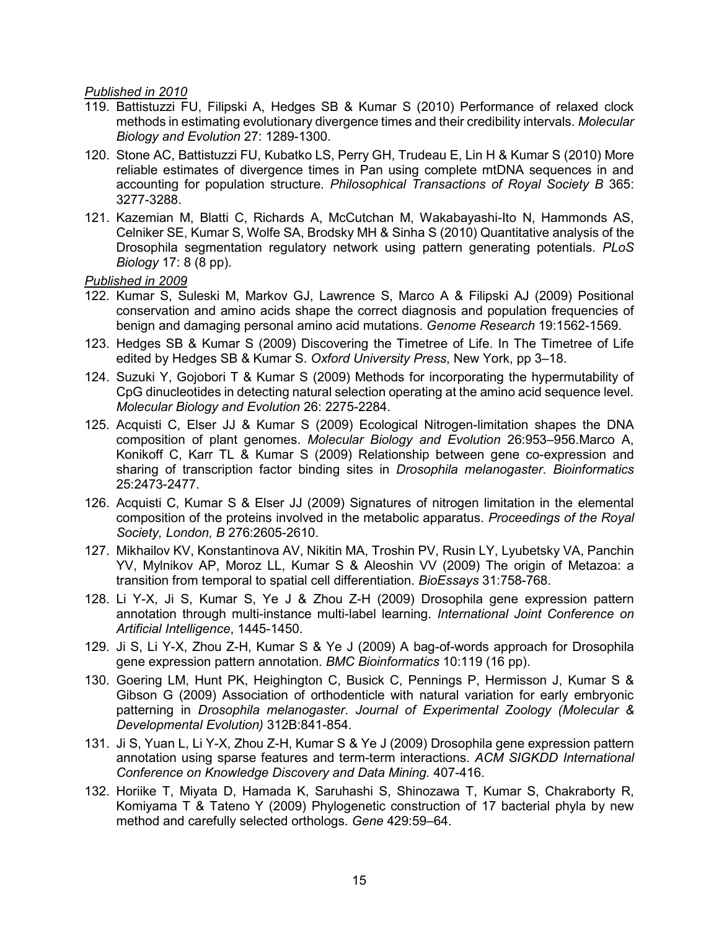- 119. Battistuzzi FU, Filipski A, Hedges SB & Kumar S (2010) Performance of relaxed clock methods in estimating evolutionary divergence times and their credibility intervals. *Molecular Biology and Evolution* 27: 1289-1300.
- 120. Stone AC, Battistuzzi FU, Kubatko LS, Perry GH, Trudeau E, Lin H & Kumar S (2010) More reliable estimates of divergence times in Pan using complete mtDNA sequences in and accounting for population structure. *Philosophical Transactions of Royal Society B* 365: 3277-3288.
- 121. Kazemian M, Blatti C, Richards A, McCutchan M, Wakabayashi-Ito N, Hammonds AS, Celniker SE, Kumar S, Wolfe SA, Brodsky MH & Sinha S (2010) Quantitative analysis of the Drosophila segmentation regulatory network using pattern generating potentials. *PLoS Biology* 17: 8 (8 pp).

- 122. Kumar S, Suleski M, Markov GJ, Lawrence S, Marco A & Filipski AJ (2009) Positional conservation and amino acids shape the correct diagnosis and population frequencies of benign and damaging personal amino acid mutations. *Genome Research* 19:1562-1569.
- 123. Hedges SB & Kumar S (2009) Discovering the Timetree of Life. In The Timetree of Life edited by Hedges SB & Kumar S. *Oxford University Press*, New York, pp 3–18.
- 124. Suzuki Y, Gojobori T & Kumar S (2009) Methods for incorporating the hypermutability of CpG dinucleotides in detecting natural selection operating at the amino acid sequence level. *Molecular Biology and Evolution* 26: 2275-2284.
- 125. Acquisti C, Elser JJ & Kumar S (2009) Ecological Nitrogen-limitation shapes the DNA composition of plant genomes. *Molecular Biology and Evolution* 26:953–956.Marco A, Konikoff C, Karr TL & Kumar S (2009) Relationship between gene co-expression and sharing of transcription factor binding sites in *Drosophila melanogaster*. *Bioinformatics* 25:2473-2477.
- 126. Acquisti C, Kumar S & Elser JJ (2009) Signatures of nitrogen limitation in the elemental composition of the proteins involved in the metabolic apparatus. *Proceedings of the Royal Society, London, B* 276:2605-2610.
- 127. Mikhailov KV, Konstantinova AV, Nikitin MA, Troshin PV, Rusin LY, Lyubetsky VA, Panchin YV, Mylnikov AP, Moroz LL, Kumar S & Aleoshin VV (2009) The origin of Metazoa: a transition from temporal to spatial cell differentiation. *BioEssays* 31:758-768.
- 128. Li Y-X, Ji S, Kumar S, Ye J & Zhou Z-H (2009) Drosophila gene expression pattern annotation through multi-instance multi-label learning. *International Joint Conference on Artificial Intelligence*, 1445-1450.
- 129. Ji S, Li Y-X, Zhou Z-H, Kumar S & Ye J (2009) A bag-of-words approach for Drosophila gene expression pattern annotation. *BMC Bioinformatics* 10:119 (16 pp).
- 130. Goering LM, Hunt PK, Heighington C, Busick C, Pennings P, Hermisson J, Kumar S & Gibson G (2009) Association of orthodenticle with natural variation for early embryonic patterning in *Drosophila melanogaster*. *Journal of Experimental Zoology (Molecular & Developmental Evolution)* 312B:841-854.
- 131. Ji S, Yuan L, Li Y-X, Zhou Z-H, Kumar S & Ye J (2009) Drosophila gene expression pattern annotation using sparse features and term-term interactions. *ACM SIGKDD International Conference on Knowledge Discovery and Data Mining.* 407-416.
- 132. Horiike T, Miyata D, Hamada K, Saruhashi S, Shinozawa T, Kumar S, Chakraborty R, Komiyama T & Tateno Y (2009) Phylogenetic construction of 17 bacterial phyla by new method and carefully selected orthologs. *Gene* 429:59–64.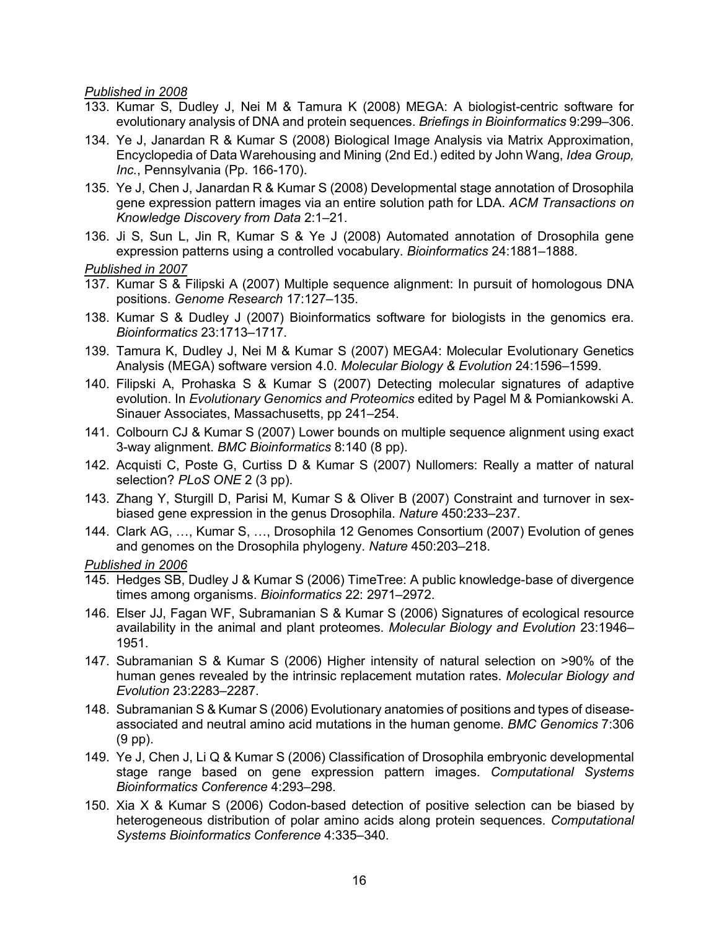- 133. Kumar S, Dudley J, Nei M & Tamura K (2008) MEGA: A biologist-centric software for evolutionary analysis of DNA and protein sequences. *Briefings in Bioinformatics* 9:299–306.
- 134. Ye J, Janardan R & Kumar S (2008) Biological Image Analysis via Matrix Approximation, Encyclopedia of Data Warehousing and Mining (2nd Ed.) edited by John Wang, *Idea Group, Inc.*, Pennsylvania (Pp. 166-170).
- 135. Ye J, Chen J, Janardan R & Kumar S (2008) Developmental stage annotation of Drosophila gene expression pattern images via an entire solution path for LDA. *ACM Transactions on Knowledge Discovery from Data* 2:1–21.
- 136. Ji S, Sun L, Jin R, Kumar S & Ye J (2008) Automated annotation of Drosophila gene expression patterns using a controlled vocabulary. *Bioinformatics* 24:1881–1888.

#### *Published in 2007*

- 137. Kumar S & Filipski A (2007) Multiple sequence alignment: In pursuit of homologous DNA positions. *Genome Research* 17:127–135.
- 138. Kumar S & Dudley J (2007) Bioinformatics software for biologists in the genomics era. *Bioinformatics* 23:1713–1717.
- 139. Tamura K, Dudley J, Nei M & Kumar S (2007) MEGA4: Molecular Evolutionary Genetics Analysis (MEGA) software version 4.0. *Molecular Biology & Evolution* 24:1596–1599.
- 140. Filipski A, Prohaska S & Kumar S (2007) Detecting molecular signatures of adaptive evolution. In *Evolutionary Genomics and Proteomics* edited by Pagel M & Pomiankowski A. Sinauer Associates, Massachusetts, pp 241–254.
- 141. Colbourn CJ & Kumar S (2007) Lower bounds on multiple sequence alignment using exact 3-way alignment. *BMC Bioinformatics* 8:140 (8 pp).
- 142. Acquisti C, Poste G, Curtiss D & Kumar S (2007) Nullomers: Really a matter of natural selection? *PLoS ONE* 2 (3 pp).
- 143. Zhang Y, Sturgill D, Parisi M, Kumar S & Oliver B (2007) Constraint and turnover in sexbiased gene expression in the genus Drosophila. *Nature* 450:233–237.
- 144. Clark AG, …, Kumar S, …, Drosophila 12 Genomes Consortium (2007) Evolution of genes and genomes on the Drosophila phylogeny. *Nature* 450:203–218.

- 145. Hedges SB, Dudley J & Kumar S (2006) TimeTree: A public knowledge-base of divergence times among organisms. *Bioinformatics* 22: 2971–2972.
- 146. Elser JJ, Fagan WF, Subramanian S & Kumar S (2006) Signatures of ecological resource availability in the animal and plant proteomes. *Molecular Biology and Evolution* 23:1946– 1951.
- 147. Subramanian S & Kumar S (2006) Higher intensity of natural selection on >90% of the human genes revealed by the intrinsic replacement mutation rates. *Molecular Biology and Evolution* 23:2283–2287.
- 148. Subramanian S & Kumar S (2006) Evolutionary anatomies of positions and types of diseaseassociated and neutral amino acid mutations in the human genome. *BMC Genomics* 7:306 (9 pp).
- 149. Ye J, Chen J, Li Q & Kumar S (2006) Classification of Drosophila embryonic developmental stage range based on gene expression pattern images. *Computational Systems Bioinformatics Conference* 4:293–298.
- 150. Xia X & Kumar S (2006) Codon-based detection of positive selection can be biased by heterogeneous distribution of polar amino acids along protein sequences. *Computational Systems Bioinformatics Conference* 4:335–340.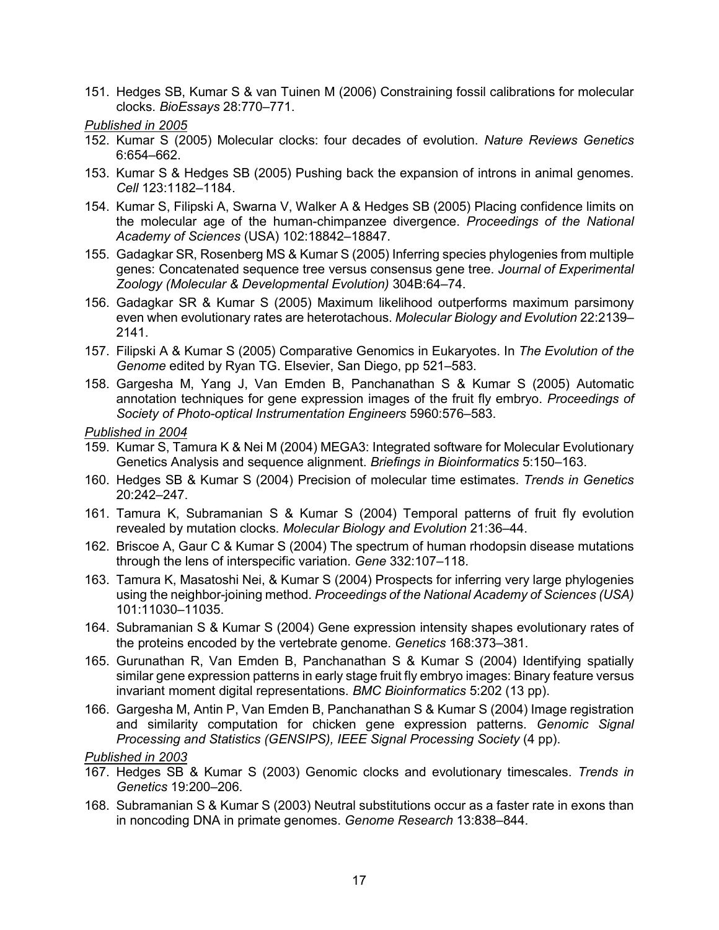151. Hedges SB, Kumar S & van Tuinen M (2006) Constraining fossil calibrations for molecular clocks. *BioEssays* 28:770–771.

#### *Published in 2005*

- 152. Kumar S (2005) Molecular clocks: four decades of evolution. *Nature Reviews Genetics* 6:654–662.
- 153. Kumar S & Hedges SB (2005) Pushing back the expansion of introns in animal genomes. *Cell* 123:1182–1184.
- 154. Kumar S, Filipski A, Swarna V, Walker A & Hedges SB (2005) Placing confidence limits on the molecular age of the human-chimpanzee divergence. *Proceedings of the National Academy of Sciences* (USA) 102:18842–18847.
- 155. Gadagkar SR, Rosenberg MS & Kumar S (2005) Inferring species phylogenies from multiple genes: Concatenated sequence tree versus consensus gene tree. *Journal of Experimental Zoology (Molecular & Developmental Evolution)* 304B:64–74.
- 156. Gadagkar SR & Kumar S (2005) Maximum likelihood outperforms maximum parsimony even when evolutionary rates are heterotachous. *Molecular Biology and Evolution* 22:2139– 2141.
- 157. Filipski A & Kumar S (2005) Comparative Genomics in Eukaryotes. In *The Evolution of the Genome* edited by Ryan TG. Elsevier, San Diego, pp 521–583.
- 158. Gargesha M, Yang J, Van Emden B, Panchanathan S & Kumar S (2005) Automatic annotation techniques for gene expression images of the fruit fly embryo. *Proceedings of Society of Photo-optical Instrumentation Engineers* 5960:576–583.

#### *Published in 2004*

- 159. Kumar S, Tamura K & Nei M (2004) MEGA3: Integrated software for Molecular Evolutionary Genetics Analysis and sequence alignment. *Briefings in Bioinformatics* 5:150–163.
- 160. Hedges SB & Kumar S (2004) Precision of molecular time estimates. *Trends in Genetics* 20:242–247.
- 161. Tamura K, Subramanian S & Kumar S (2004) Temporal patterns of fruit fly evolution revealed by mutation clocks. *Molecular Biology and Evolution* 21:36–44.
- 162. Briscoe A, Gaur C & Kumar S (2004) The spectrum of human rhodopsin disease mutations through the lens of interspecific variation. *Gene* 332:107–118.
- 163. Tamura K, Masatoshi Nei, & Kumar S (2004) Prospects for inferring very large phylogenies using the neighbor-joining method. *Proceedings of the National Academy of Sciences (USA)* 101:11030–11035.
- 164. Subramanian S & Kumar S (2004) Gene expression intensity shapes evolutionary rates of the proteins encoded by the vertebrate genome. *Genetics* 168:373–381.
- 165. Gurunathan R, Van Emden B, Panchanathan S & Kumar S (2004) Identifying spatially similar gene expression patterns in early stage fruit fly embryo images: Binary feature versus invariant moment digital representations. *BMC Bioinformatics* 5:202 (13 pp).
- 166. Gargesha M, Antin P, Van Emden B, Panchanathan S & Kumar S (2004) Image registration and similarity computation for chicken gene expression patterns. *Genomic Signal Processing and Statistics (GENSIPS), IEEE Signal Processing Society* (4 pp).

- 167. Hedges SB & Kumar S (2003) Genomic clocks and evolutionary timescales. *Trends in Genetics* 19:200–206.
- 168. Subramanian S & Kumar S (2003) Neutral substitutions occur as a faster rate in exons than in noncoding DNA in primate genomes. *Genome Research* 13:838–844.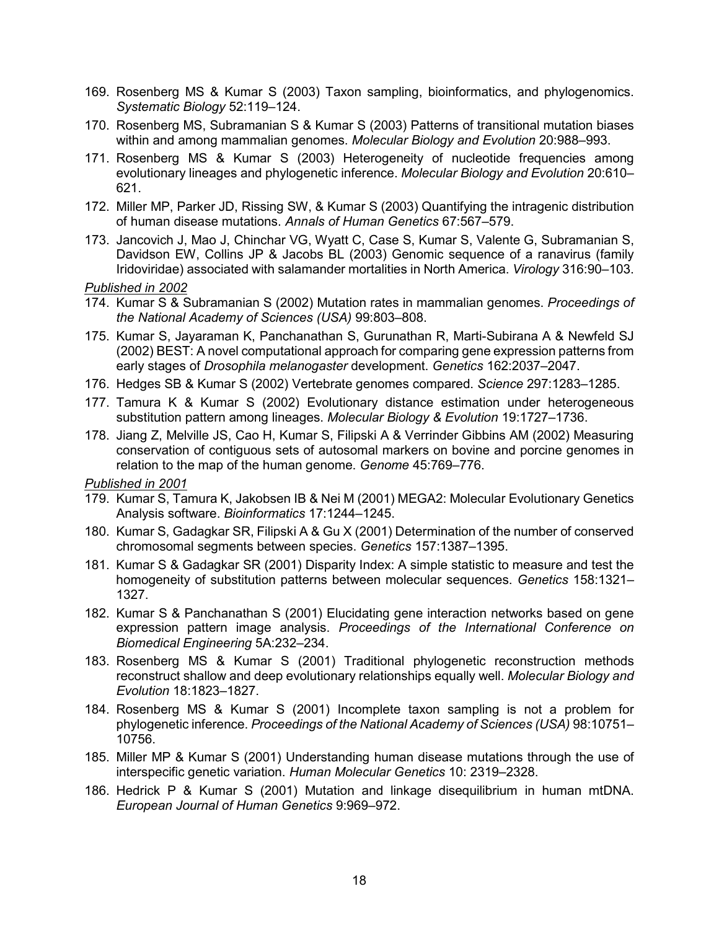- 169. Rosenberg MS & Kumar S (2003) Taxon sampling, bioinformatics, and phylogenomics. *Systematic Biology* 52:119–124.
- 170. Rosenberg MS, Subramanian S & Kumar S (2003) Patterns of transitional mutation biases within and among mammalian genomes. *Molecular Biology and Evolution* 20:988–993.
- 171. Rosenberg MS & Kumar S (2003) Heterogeneity of nucleotide frequencies among evolutionary lineages and phylogenetic inference. *Molecular Biology and Evolution* 20:610– 621.
- 172. Miller MP, Parker JD, Rissing SW, & Kumar S (2003) Quantifying the intragenic distribution of human disease mutations. *Annals of Human Genetics* 67:567–579.
- 173. Jancovich J, Mao J, Chinchar VG, Wyatt C, Case S, Kumar S, Valente G, Subramanian S, Davidson EW, Collins JP & Jacobs BL (2003) Genomic sequence of a ranavirus (family Iridoviridae) associated with salamander mortalities in North America. *Virology* 316:90–103.

- 174. Kumar S & Subramanian S (2002) Mutation rates in mammalian genomes. *Proceedings of the National Academy of Sciences (USA)* 99:803–808.
- 175. Kumar S, Jayaraman K, Panchanathan S, Gurunathan R, Marti-Subirana A & Newfeld SJ (2002) BEST: A novel computational approach for comparing gene expression patterns from early stages of *Drosophila melanogaster* development. *Genetics* 162:2037–2047.
- 176. Hedges SB & Kumar S (2002) Vertebrate genomes compared. *Science* 297:1283–1285.
- 177. Tamura K & Kumar S (2002) Evolutionary distance estimation under heterogeneous substitution pattern among lineages. *Molecular Biology & Evolution* 19:1727–1736.
- 178. Jiang Z, Melville JS, Cao H, Kumar S, Filipski A & Verrinder Gibbins AM (2002) Measuring conservation of contiguous sets of autosomal markers on bovine and porcine genomes in relation to the map of the human genome. *Genome* 45:769–776.

- 179. Kumar S, Tamura K, Jakobsen IB & Nei M (2001) MEGA2: Molecular Evolutionary Genetics Analysis software. *Bioinformatics* 17:1244–1245.
- 180. Kumar S, Gadagkar SR, Filipski A & Gu X (2001) Determination of the number of conserved chromosomal segments between species. *Genetics* 157:1387–1395.
- 181. Kumar S & Gadagkar SR (2001) Disparity Index: A simple statistic to measure and test the homogeneity of substitution patterns between molecular sequences. *Genetics* 158:1321– 1327.
- 182. Kumar S & Panchanathan S (2001) Elucidating gene interaction networks based on gene expression pattern image analysis. *Proceedings of the International Conference on Biomedical Engineering* 5A:232–234.
- 183. Rosenberg MS & Kumar S (2001) Traditional phylogenetic reconstruction methods reconstruct shallow and deep evolutionary relationships equally well. *Molecular Biology and Evolution* 18:1823–1827.
- 184. Rosenberg MS & Kumar S (2001) Incomplete taxon sampling is not a problem for phylogenetic inference. *Proceedings of the National Academy of Sciences (USA)* 98:10751– 10756.
- 185. Miller MP & Kumar S (2001) Understanding human disease mutations through the use of interspecific genetic variation. *Human Molecular Genetics* 10: 2319–2328.
- 186. Hedrick P & Kumar S (2001) Mutation and linkage disequilibrium in human mtDNA. *European Journal of Human Genetics* 9:969–972.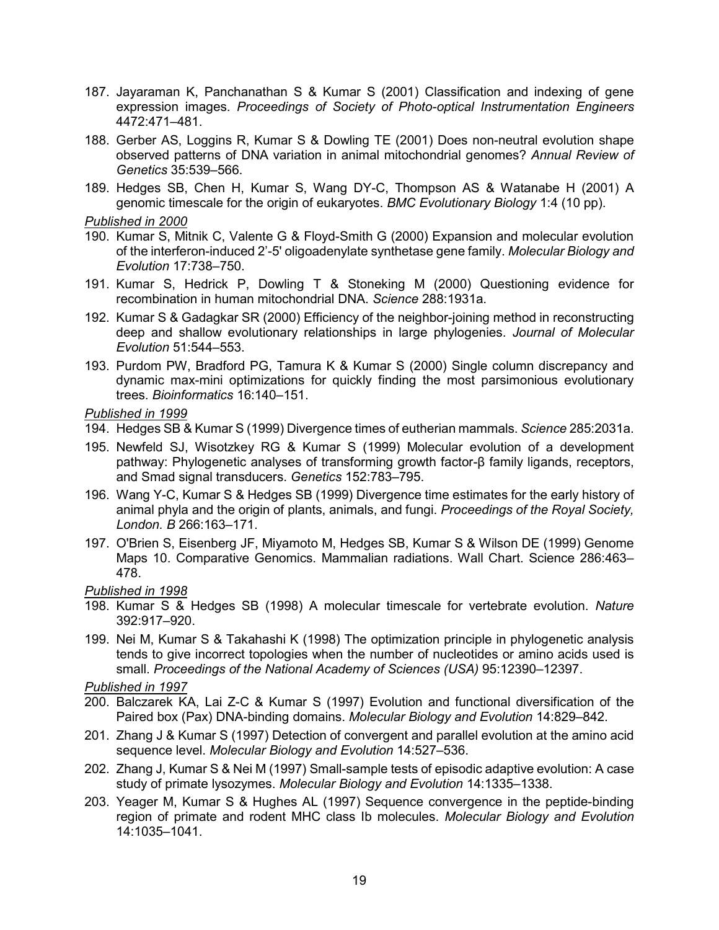- 187. Jayaraman K, Panchanathan S & Kumar S (2001) Classification and indexing of gene expression images. *Proceedings of Society of Photo-optical Instrumentation Engineers* 4472:471–481.
- 188. Gerber AS, Loggins R, Kumar S & Dowling TE (2001) Does non-neutral evolution shape observed patterns of DNA variation in animal mitochondrial genomes? *Annual Review of Genetics* 35:539–566.
- 189. Hedges SB, Chen H, Kumar S, Wang DY-C, Thompson AS & Watanabe H (2001) A genomic timescale for the origin of eukaryotes. *BMC Evolutionary Biology* 1:4 (10 pp).

- 190. Kumar S, Mitnik C, Valente G & Floyd-Smith G (2000) Expansion and molecular evolution of the interferon-induced 2'-5' oligoadenylate synthetase gene family. *Molecular Biology and Evolution* 17:738–750.
- 191. Kumar S, Hedrick P, Dowling T & Stoneking M (2000) Questioning evidence for recombination in human mitochondrial DNA. *Science* 288:1931a.
- 192. Kumar S & Gadagkar SR (2000) Efficiency of the neighbor-joining method in reconstructing deep and shallow evolutionary relationships in large phylogenies. *Journal of Molecular Evolution* 51:544–553.
- 193. Purdom PW, Bradford PG, Tamura K & Kumar S (2000) Single column discrepancy and dynamic max-mini optimizations for quickly finding the most parsimonious evolutionary trees. *Bioinformatics* 16:140–151.

#### *Published in 1999*

- 194. Hedges SB & Kumar S (1999) Divergence times of eutherian mammals. *Science* 285:2031a.
- 195. Newfeld SJ, Wisotzkey RG & Kumar S (1999) Molecular evolution of a development pathway: Phylogenetic analyses of transforming growth factor-β family ligands, receptors, and Smad signal transducers. *Genetics* 152:783–795.
- 196. Wang Y-C, Kumar S & Hedges SB (1999) Divergence time estimates for the early history of animal phyla and the origin of plants, animals, and fungi. *Proceedings of the Royal Society, London. B* 266:163–171.
- 197. O'Brien S, Eisenberg JF, Miyamoto M, Hedges SB, Kumar S & Wilson DE (1999) Genome Maps 10. Comparative Genomics. Mammalian radiations. Wall Chart. Science 286:463– 478.

#### *Published in 1998*

- 198. Kumar S & Hedges SB (1998) A molecular timescale for vertebrate evolution. *Nature* 392:917–920.
- 199. Nei M, Kumar S & Takahashi K (1998) The optimization principle in phylogenetic analysis tends to give incorrect topologies when the number of nucleotides or amino acids used is small. *Proceedings of the National Academy of Sciences (USA)* 95:12390–12397.

- 200. Balczarek KA, Lai Z-C & Kumar S (1997) Evolution and functional diversification of the Paired box (Pax) DNA-binding domains. *Molecular Biology and Evolution* 14:829–842.
- 201. Zhang J & Kumar S (1997) Detection of convergent and parallel evolution at the amino acid sequence level. *Molecular Biology and Evolution* 14:527–536.
- 202. Zhang J, Kumar S & Nei M (1997) Small-sample tests of episodic adaptive evolution: A case study of primate lysozymes. *Molecular Biology and Evolution* 14:1335–1338.
- 203. Yeager M, Kumar S & Hughes AL (1997) Sequence convergence in the peptide-binding region of primate and rodent MHC class Ib molecules. *Molecular Biology and Evolution* 14:1035–1041.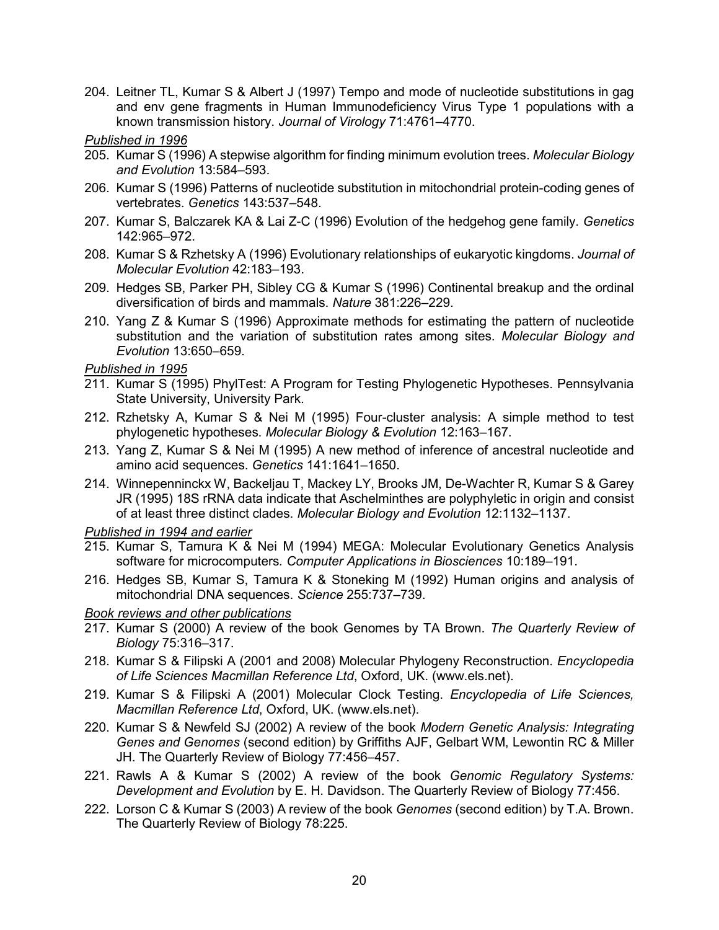- 204. Leitner TL, Kumar S & Albert J (1997) Tempo and mode of nucleotide substitutions in gag and env gene fragments in Human Immunodeficiency Virus Type 1 populations with a known transmission history. *Journal of Virology* 71:4761–4770.
- *Published in 1996*
- 205. Kumar S (1996) A stepwise algorithm for finding minimum evolution trees. *Molecular Biology and Evolution* 13:584–593.
- 206. Kumar S (1996) Patterns of nucleotide substitution in mitochondrial protein-coding genes of vertebrates. *Genetics* 143:537–548.
- 207. Kumar S, Balczarek KA & Lai Z-C (1996) Evolution of the hedgehog gene family. *Genetics* 142:965–972.
- 208. Kumar S & Rzhetsky A (1996) Evolutionary relationships of eukaryotic kingdoms. *Journal of Molecular Evolution* 42:183–193.
- 209. Hedges SB, Parker PH, Sibley CG & Kumar S (1996) Continental breakup and the ordinal diversification of birds and mammals. *Nature* 381:226–229.
- 210. Yang Z & Kumar S (1996) Approximate methods for estimating the pattern of nucleotide substitution and the variation of substitution rates among sites. *Molecular Biology and Evolution* 13:650–659.

- 211. Kumar S (1995) PhylTest: A Program for Testing Phylogenetic Hypotheses. Pennsylvania State University, University Park.
- 212. Rzhetsky A, Kumar S & Nei M (1995) Four-cluster analysis: A simple method to test phylogenetic hypotheses. *Molecular Biology & Evolution* 12:163–167.
- 213. Yang Z, Kumar S & Nei M (1995) A new method of inference of ancestral nucleotide and amino acid sequences. *Genetics* 141:1641–1650.
- 214. Winnepenninckx W, Backeljau T, Mackey LY, Brooks JM, De-Wachter R, Kumar S & Garey JR (1995) 18S rRNA data indicate that Aschelminthes are polyphyletic in origin and consist of at least three distinct clades. *Molecular Biology and Evolution* 12:1132–1137.

*Published in 1994 and earlier*

- 215. Kumar S, Tamura K & Nei M (1994) MEGA: Molecular Evolutionary Genetics Analysis software for microcomputers*. Computer Applications in Biosciences* 10:189–191.
- 216. Hedges SB, Kumar S, Tamura K & Stoneking M (1992) Human origins and analysis of mitochondrial DNA sequences. *Science* 255:737–739.

*Book reviews and other publications*

- 217. Kumar S (2000) A review of the book Genomes by TA Brown. *The Quarterly Review of Biology* 75:316–317.
- 218. Kumar S & Filipski A (2001 and 2008) Molecular Phylogeny Reconstruction. *Encyclopedia of Life Sciences Macmillan Reference Ltd*, Oxford, UK. (www.els.net).
- 219. Kumar S & Filipski A (2001) Molecular Clock Testing. *Encyclopedia of Life Sciences, Macmillan Reference Ltd*, Oxford, UK. (www.els.net).
- 220. Kumar S & Newfeld SJ (2002) A review of the book *Modern Genetic Analysis: Integrating Genes and Genomes* (second edition) by Griffiths AJF, Gelbart WM, Lewontin RC & Miller JH. The Quarterly Review of Biology 77:456–457.
- 221. Rawls A & Kumar S (2002) A review of the book *Genomic Regulatory Systems: Development and Evolution* by E. H. Davidson. The Quarterly Review of Biology 77:456.
- 222. Lorson C & Kumar S (2003) A review of the book *Genomes* (second edition) by T.A. Brown. The Quarterly Review of Biology 78:225.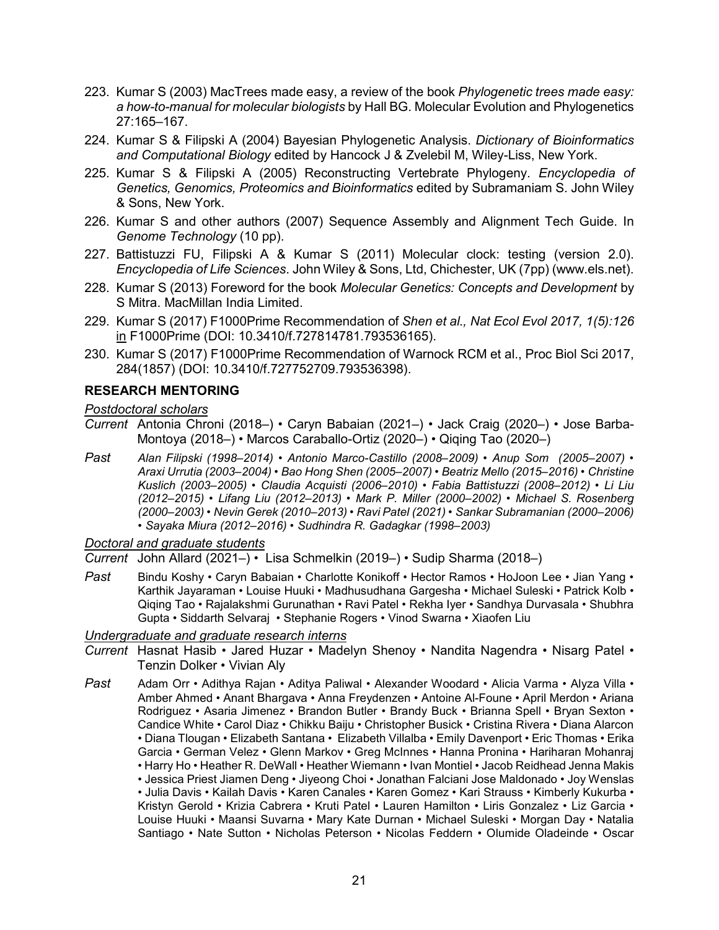- 223. Kumar S (2003) MacTrees made easy, a review of the book *Phylogenetic trees made easy: a how-to-manual for molecular biologists* by Hall BG. Molecular Evolution and Phylogenetics 27:165–167.
- 224. Kumar S & Filipski A (2004) Bayesian Phylogenetic Analysis. *Dictionary of Bioinformatics and Computational Biology* edited by Hancock J & Zvelebil M, Wiley-Liss, New York.
- 225. Kumar S & Filipski A (2005) Reconstructing Vertebrate Phylogeny. *Encyclopedia of Genetics, Genomics, Proteomics and Bioinformatics* edited by Subramaniam S. John Wiley & Sons, New York.
- 226. Kumar S and other authors (2007) Sequence Assembly and Alignment Tech Guide. In *Genome Technology* (10 pp).
- 227. Battistuzzi FU, Filipski A & Kumar S (2011) Molecular clock: testing (version 2.0). *Encyclopedia of Life Sciences*. John Wiley & Sons, Ltd, Chichester, UK (7pp) (www.els.net).
- 228. Kumar S (2013) Foreword for the book *Molecular Genetics: Concepts and Development* by S Mitra. MacMillan India Limited.
- 229. Kumar S (2017) F1000Prime Recommendation of *Shen et al., Nat Ecol Evol 2017, 1(5):126* in F1000Prime (DOI: 10.3410/f.727814781.793536165).
- 230. Kumar S (2017) F1000Prime Recommendation of Warnock RCM et al., Proc Biol Sci 2017, 284(1857) (DOI: 10.3410/f.727752709.793536398).

### **RESEARCH MENTORING**

## *Postdoctoral scholars*

- *Current* Antonia Chroni (2018–) Caryn Babaian (2021–) Jack Craig (2020–) Jose Barba-Montoya (2018–) • Marcos Caraballo-Ortiz (2020–) • Qiqing Tao (2020–)
- *Past Alan Filipski (1998–2014) Antonio Marco-Castillo (2008–2009) Anup Som (2005–2007) Araxi Urrutia (2003–2004) • Bao Hong Shen (2005–2007) • Beatriz Mello (2015–2016) • Christine Kuslich (2003–2005) • Claudia Acquisti (2006–2010) • Fabia Battistuzzi (2008–2012) • Li Liu (2012–2015) • Lifang Liu (2012–2013) • Mark P. Miller (2000–2002) • Michael S. Rosenberg (2000–2003) • Nevin Gerek (2010–2013) • Ravi Patel (2021) • Sankar Subramanian (2000–2006) • Sayaka Miura (2012–2016) • Sudhindra R. Gadagkar (1998–2003)*

#### *Doctoral and graduate students*

*Current* John Allard (2021–) • Lisa Schmelkin (2019–) • Sudip Sharma (2018–)

*Past* Bindu Koshy • Caryn Babaian • Charlotte Konikoff • Hector Ramos • HoJoon Lee • Jian Yang • Karthik Jayaraman • Louise Huuki • Madhusudhana Gargesha • Michael Suleski • Patrick Kolb • Qiqing Tao • Rajalakshmi Gurunathan • Ravi Patel • Rekha Iyer • Sandhya Durvasala • Shubhra Gupta • Siddarth Selvaraj • Stephanie Rogers • Vinod Swarna • Xiaofen Liu

#### *Undergraduate and graduate research interns*

- *Current* Hasnat Hasib Jared Huzar Madelyn Shenoy Nandita Nagendra Nisarg Patel Tenzin Dolker • Vivian Aly
- *Past* Adam Orr Adithya Rajan Aditya Paliwal Alexander Woodard Alicia Varma Alyza Villa Amber Ahmed • Anant Bhargava • Anna Freydenzen • Antoine Al-Foune • April Merdon • Ariana Rodriguez • Asaria Jimenez • Brandon Butler • Brandy Buck • Brianna Spell • Bryan Sexton • Candice White • Carol Diaz • Chikku Baiju • Christopher Busick • Cristina Rivera • Diana Alarcon • Diana Tlougan • Elizabeth Santana • Elizabeth Villalba • Emily Davenport • Eric Thomas • Erika Garcia • German Velez • Glenn Markov • Greg McInnes • Hanna Pronina • Hariharan Mohanraj • Harry Ho • Heather R. DeWall • Heather Wiemann • Ivan Montiel • Jacob Reidhead Jenna Makis • Jessica Priest Jiamen Deng • Jiyeong Choi • Jonathan Falciani Jose Maldonado • Joy Wenslas • Julia Davis • Kailah Davis • Karen Canales • Karen Gomez • Kari Strauss • Kimberly Kukurba • Kristyn Gerold • Krizia Cabrera • Kruti Patel • Lauren Hamilton • Liris Gonzalez • Liz Garcia • Louise Huuki • Maansi Suvarna • Mary Kate Durnan • Michael Suleski • Morgan Day • Natalia Santiago • Nate Sutton • Nicholas Peterson • Nicolas Feddern • Olumide Oladeinde • Oscar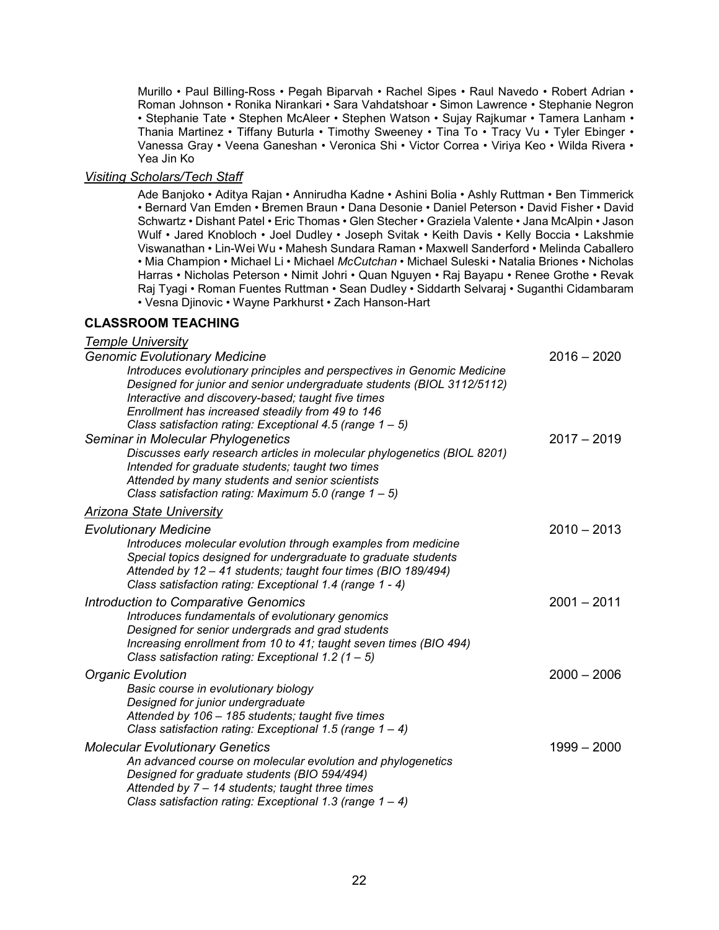Murillo • Paul Billing-Ross • Pegah Biparvah • Rachel Sipes • Raul Navedo • Robert Adrian • Roman Johnson • Ronika Nirankari • Sara Vahdatshoar ▪ Simon Lawrence • Stephanie Negron • Stephanie Tate • Stephen McAleer • Stephen Watson • Sujay Rajkumar • Tamera Lanham • Thania Martinez • Tiffany Buturla • Timothy Sweeney • Tina To • Tracy Vu • Tyler Ebinger • Vanessa Gray • Veena Ganeshan • Veronica Shi • Victor Correa • Viriya Keo • Wilda Rivera • Yea Jin Ko

#### *Visiting Scholars/Tech Staff*

Ade Banjoko • Aditya Rajan • Annirudha Kadne • Ashini Bolia • Ashly Ruttman • Ben Timmerick • Bernard Van Emden • Bremen Braun • Dana Desonie • Daniel Peterson • David Fisher • David Schwartz • Dishant Patel • Eric Thomas • Glen Stecher • Graziela Valente • Jana McAlpin • Jason Wulf • Jared Knobloch • Joel Dudley • Joseph Svitak • Keith Davis • Kelly Boccia • Lakshmie Viswanathan • Lin-Wei Wu • Mahesh Sundara Raman • Maxwell Sanderford • Melinda Caballero • Mia Champion • Michael Li • Michael *McCutchan* • Michael Suleski • Natalia Briones • Nicholas Harras • Nicholas Peterson • Nimit Johri • Quan Nguyen • Raj Bayapu • Renee Grothe • Revak Raj Tyagi • Roman Fuentes Ruttman • Sean Dudley • Siddarth Selvaraj • Suganthi Cidambaram • Vesna Djinovic • Wayne Parkhurst • Zach Hanson-Hart

#### **CLASSROOM TEACHING**

#### *Temple University*

| <b>Genomic Evolutionary Medicine</b>                                                                                                                                                                                                                         | $2016 - 2020$ |
|--------------------------------------------------------------------------------------------------------------------------------------------------------------------------------------------------------------------------------------------------------------|---------------|
| Introduces evolutionary principles and perspectives in Genomic Medicine<br>Designed for junior and senior undergraduate students (BIOL 3112/5112)<br>Interactive and discovery-based; taught five times                                                      |               |
| Enrollment has increased steadily from 49 to 146                                                                                                                                                                                                             |               |
| Class satisfaction rating: Exceptional 4.5 (range 1 - 5)                                                                                                                                                                                                     |               |
| Seminar in Molecular Phylogenetics                                                                                                                                                                                                                           | $2017 - 2019$ |
| Discusses early research articles in molecular phylogenetics (BIOL 8201)                                                                                                                                                                                     |               |
| Intended for graduate students; taught two times                                                                                                                                                                                                             |               |
| Attended by many students and senior scientists                                                                                                                                                                                                              |               |
| Class satisfaction rating: Maximum 5.0 (range $1 - 5$ )                                                                                                                                                                                                      |               |
| <b>Arizona State University</b>                                                                                                                                                                                                                              |               |
| <b>Evolutionary Medicine</b>                                                                                                                                                                                                                                 | $2010 - 2013$ |
| Introduces molecular evolution through examples from medicine<br>Special topics designed for undergraduate to graduate students<br>Attended by 12 - 41 students; taught four times (BIO 189/494)<br>Class satisfaction rating: Exceptional 1.4 (range 1 - 4) |               |
| Introduction to Comparative Genomics                                                                                                                                                                                                                         | $2001 - 2011$ |
| Introduces fundamentals of evolutionary genomics                                                                                                                                                                                                             |               |
| Designed for senior undergrads and grad students                                                                                                                                                                                                             |               |
| Increasing enrollment from 10 to 41; taught seven times (BIO 494)                                                                                                                                                                                            |               |
| Class satisfaction rating: Exceptional 1.2 $(1 – 5)$                                                                                                                                                                                                         |               |
| <b>Organic Evolution</b>                                                                                                                                                                                                                                     | $2000 - 2006$ |
| Basic course in evolutionary biology                                                                                                                                                                                                                         |               |
| Designed for junior undergraduate                                                                                                                                                                                                                            |               |
| Attended by 106 - 185 students; taught five times                                                                                                                                                                                                            |               |
| Class satisfaction rating: Exceptional 1.5 (range $1 - 4$ )                                                                                                                                                                                                  |               |
| <b>Molecular Evolutionary Genetics</b>                                                                                                                                                                                                                       | $1999 - 2000$ |
| An advanced course on molecular evolution and phylogenetics<br>Designed for graduate students (BIO 594/494)                                                                                                                                                  |               |
| Attended by $7 - 14$ students; taught three times                                                                                                                                                                                                            |               |
| Class satisfaction rating: Exceptional 1.3 (range $1 - 4$ )                                                                                                                                                                                                  |               |
|                                                                                                                                                                                                                                                              |               |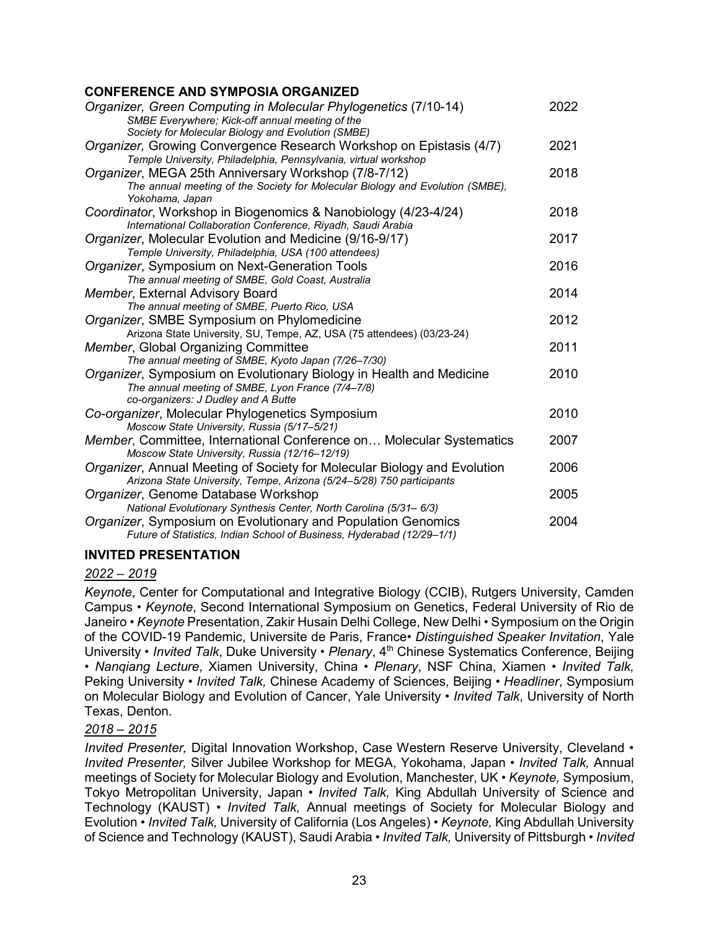# **CONFERENCE AND SYMPOSIA ORGANIZED**

| יי בולבוסטיס אויירט טוויין אס אין די ה                                        |      |
|-------------------------------------------------------------------------------|------|
| Organizer, Green Computing in Molecular Phylogenetics (7/10-14)               | 2022 |
| SMBE Everywhere; Kick-off annual meeting of the                               |      |
| Society for Molecular Biology and Evolution (SMBE)                            |      |
| Organizer, Growing Convergence Research Workshop on Epistasis (4/7)           | 2021 |
| Temple University, Philadelphia, Pennsylvania, virtual workshop               |      |
| Organizer, MEGA 25th Anniversary Workshop (7/8-7/12)                          | 2018 |
| The annual meeting of the Society for Molecular Biology and Evolution (SMBE), |      |
| Yokohama, Japan                                                               |      |
| Coordinator, Workshop in Biogenomics & Nanobiology (4/23-4/24)                | 2018 |
| International Collaboration Conference, Riyadh, Saudi Arabia                  |      |
| Organizer, Molecular Evolution and Medicine (9/16-9/17)                       | 2017 |
| Temple University, Philadelphia, USA (100 attendees)                          |      |
| Organizer, Symposium on Next-Generation Tools                                 | 2016 |
| The annual meeting of SMBE, Gold Coast, Australia                             |      |
| Member, External Advisory Board                                               | 2014 |
| The annual meeting of SMBE, Puerto Rico, USA                                  |      |
| Organizer, SMBE Symposium on Phylomedicine                                    | 2012 |
| Arizona State University, SU, Tempe, AZ, USA (75 attendees) (03/23-24)        |      |
| Member, Global Organizing Committee                                           | 2011 |
| The annual meeting of SMBE, Kyoto Japan (7/26-7/30)                           |      |
| Organizer, Symposium on Evolutionary Biology in Health and Medicine           | 2010 |
| The annual meeting of SMBE, Lyon France (7/4-7/8)                             |      |
| co-organizers: J Dudley and A Butte                                           |      |
| Co-organizer, Molecular Phylogenetics Symposium                               | 2010 |
| Moscow State University, Russia (5/17-5/21)                                   |      |
| Member, Committee, International Conference on Molecular Systematics          | 2007 |
| Moscow State University, Russia (12/16-12/19)                                 |      |
| Organizer, Annual Meeting of Society for Molecular Biology and Evolution      | 2006 |
| Arizona State University, Tempe, Arizona (5/24-5/28) 750 participants         |      |
| Organizer, Genome Database Workshop                                           | 2005 |
| National Evolutionary Synthesis Center, North Carolina (5/31-6/3)             |      |
| Organizer, Symposium on Evolutionary and Population Genomics                  | 2004 |
| Future of Statistics, Indian School of Business, Hyderabad (12/29-1/1)        |      |
|                                                                               |      |

### **INVITED PRESENTATION**

### *2022 – 2019*

*Keynote*, Center for Computational and Integrative Biology (CCIB), Rutgers University, Camden Campus • *Keynote*, Second International Symposium on Genetics, Federal University of Rio de Janeiro • *Keynote* Presentation, Zakir Husain Delhi College, New Delhi • Symposium on the Origin of the COVID-19 Pandemic, Universite de Paris, France• *Distinguished Speaker Invitation*, Yale University • *Invited Talk*, Duke University • *Plenary*, 4<sup>th</sup> Chinese Systematics Conference, Beijing • *Nanqiang Lecture*, Xiamen University, China • *Plenary*, NSF China, Xiamen • *Invited Talk,* Peking University • *Invited Talk,* Chinese Academy of Sciences, Beijing • *Headliner*, Symposium on Molecular Biology and Evolution of Cancer, Yale University • *Invited Talk*, University of North Texas, Denton.

### *2018 – 2015*

*Invited Presenter, Digital Innovation Workshop, Case Western Reserve University, Cleveland • Invited Presenter,* Silver Jubilee Workshop for MEGA, Yokohama, Japan • *Invited Talk,* Annual meetings of Society for Molecular Biology and Evolution, Manchester, UK • *Keynote,* Symposium, Tokyo Metropolitan University, Japan • *Invited Talk,* King Abdullah University of Science and Technology (KAUST) • *Invited Talk,* Annual meetings of Society for Molecular Biology and Evolution • *Invited Talk,* University of California (Los Angeles) • *Keynote,* King Abdullah University of Science and Technology (KAUST), Saudi Arabia • *Invited Talk,* University of Pittsburgh • *Invited*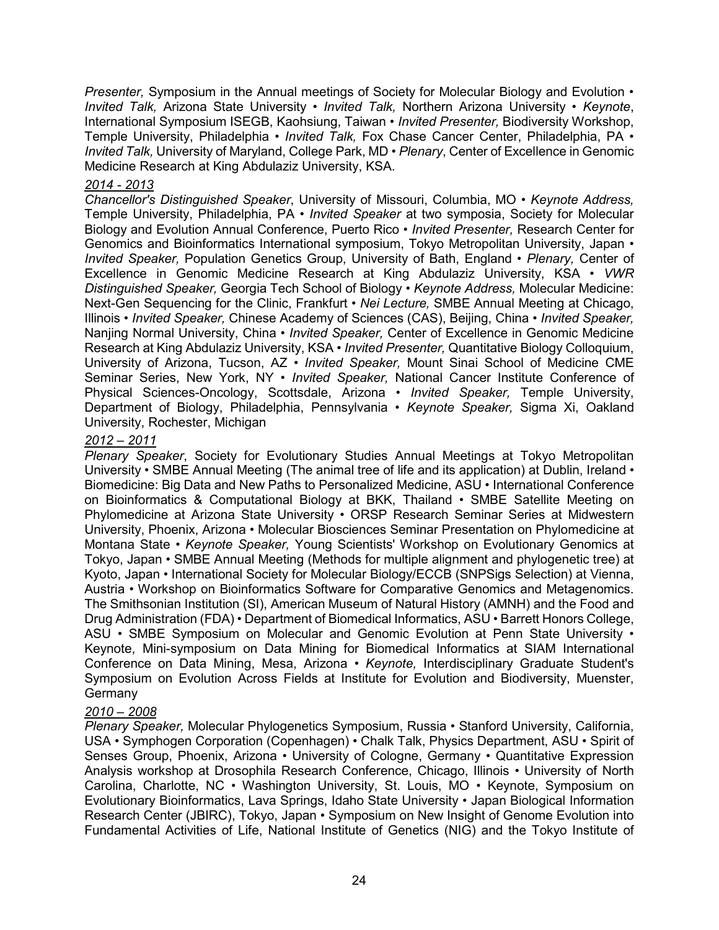*Presenter,* Symposium in the Annual meetings of Society for Molecular Biology and Evolution • *Invited Talk,* Arizona State University • *Invited Talk,* Northern Arizona University • *Keynote*, International Symposium ISEGB, Kaohsiung, Taiwan • *Invited Presenter,* Biodiversity Workshop, Temple University, Philadelphia • *Invited Talk,* Fox Chase Cancer Center, Philadelphia, PA • *Invited Talk,* University of Maryland, College Park, MD • *Plenary*, Center of Excellence in Genomic Medicine Research at King Abdulaziz University, KSA.

#### *2014 - 2013*

*Chancellor's Distinguished Speaker*, University of Missouri, Columbia, MO • *Keynote Address,* Temple University, Philadelphia, PA • *Invited Speaker* at two symposia, Society for Molecular Biology and Evolution Annual Conference, Puerto Rico • *Invited Presenter,* Research Center for Genomics and Bioinformatics International symposium, Tokyo Metropolitan University, Japan • *Invited Speaker,* Population Genetics Group, University of Bath, England • *Plenary,* Center of Excellence in Genomic Medicine Research at King Abdulaziz University, KSA • *VWR Distinguished Speaker,* Georgia Tech School of Biology • *Keynote Address,* Molecular Medicine: Next-Gen Sequencing for the Clinic, Frankfurt • *Nei Lecture,* SMBE Annual Meeting at Chicago, Illinois • *Invited Speaker,* Chinese Academy of Sciences (CAS), Beijing, China • *Invited Speaker,* Nanjing Normal University, China • *Invited Speaker,* Center of Excellence in Genomic Medicine Research at King Abdulaziz University, KSA • *Invited Presenter,* Quantitative Biology Colloquium, University of Arizona, Tucson, AZ • *Invited Speaker,* Mount Sinai School of Medicine CME Seminar Series, New York, NY • *Invited Speaker,* National Cancer Institute Conference of Physical Sciences-Oncology, Scottsdale, Arizona • *Invited Speaker,* Temple University, Department of Biology, Philadelphia, Pennsylvania • *Keynote Speaker,* Sigma Xi, Oakland University, Rochester, Michigan

### *2012 – 2011*

*Plenary Speaker*, Society for Evolutionary Studies Annual Meetings at Tokyo Metropolitan University • SMBE Annual Meeting (The animal tree of life and its application) at Dublin, Ireland • Biomedicine: Big Data and New Paths to Personalized Medicine, ASU • International Conference on Bioinformatics & Computational Biology at BKK, Thailand • SMBE Satellite Meeting on Phylomedicine at Arizona State University • ORSP Research Seminar Series at Midwestern University, Phoenix, Arizona • Molecular Biosciences Seminar Presentation on Phylomedicine at Montana State • *Keynote Speaker,* Young Scientists' Workshop on Evolutionary Genomics at Tokyo, Japan • SMBE Annual Meeting (Methods for multiple alignment and phylogenetic tree) at Kyoto, Japan • International Society for Molecular Biology/ECCB (SNPSigs Selection) at Vienna, Austria • Workshop on Bioinformatics Software for Comparative Genomics and Metagenomics. The Smithsonian Institution (SI), American Museum of Natural History (AMNH) and the Food and Drug Administration (FDA) • Department of Biomedical Informatics, ASU • Barrett Honors College, ASU • SMBE Symposium on Molecular and Genomic Evolution at Penn State University • Keynote, Mini-symposium on Data Mining for Biomedical Informatics at SIAM International Conference on Data Mining, Mesa, Arizona • *Keynote,* Interdisciplinary Graduate Student's Symposium on Evolution Across Fields at Institute for Evolution and Biodiversity, Muenster, Germany

# *2010 – 2008*

*Plenary Speaker,* Molecular Phylogenetics Symposium, Russia • Stanford University, California, USA • Symphogen Corporation (Copenhagen) • Chalk Talk, Physics Department, ASU • Spirit of Senses Group, Phoenix, Arizona • University of Cologne, Germany • Quantitative Expression Analysis workshop at Drosophila Research Conference, Chicago, Illinois • University of North Carolina, Charlotte, NC • Washington University, St. Louis, MO • Keynote, Symposium on Evolutionary Bioinformatics, Lava Springs, Idaho State University • Japan Biological Information Research Center (JBIRC), Tokyo, Japan • Symposium on New Insight of Genome Evolution into Fundamental Activities of Life, National Institute of Genetics (NIG) and the Tokyo Institute of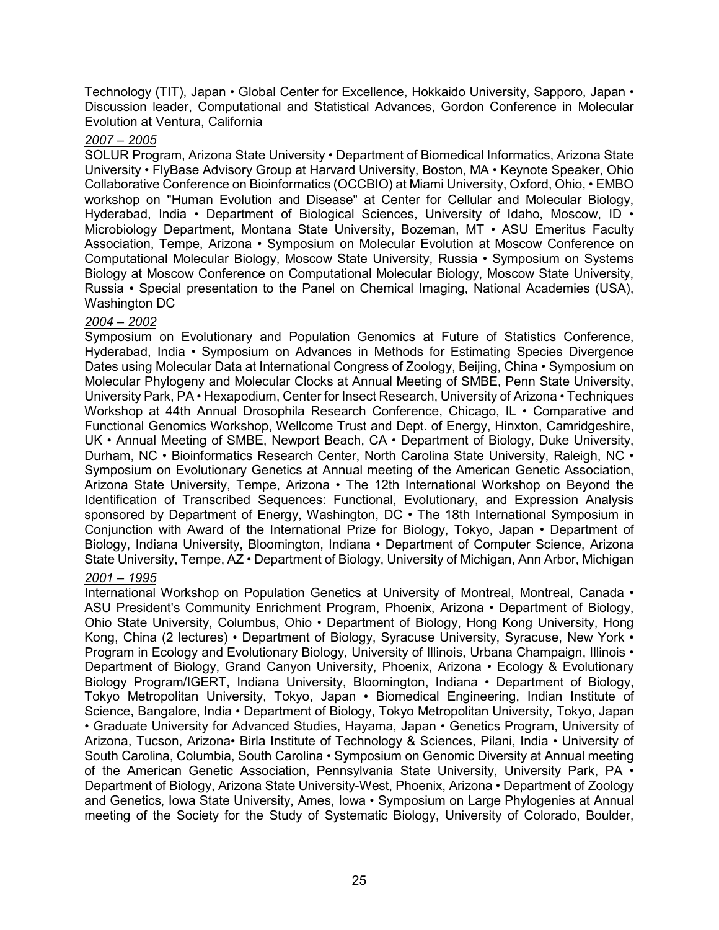Technology (TIT), Japan • Global Center for Excellence, Hokkaido University, Sapporo, Japan • Discussion leader, Computational and Statistical Advances, Gordon Conference in Molecular Evolution at Ventura, California

#### *2007 – 2005*

SOLUR Program, Arizona State University • Department of Biomedical Informatics, Arizona State University • FlyBase Advisory Group at Harvard University, Boston, MA • Keynote Speaker, Ohio Collaborative Conference on Bioinformatics (OCCBIO) at Miami University, Oxford, Ohio, • EMBO workshop on "Human Evolution and Disease" at Center for Cellular and Molecular Biology, Hyderabad, India • Department of Biological Sciences, University of Idaho, Moscow, ID • Microbiology Department, Montana State University, Bozeman, MT • ASU Emeritus Faculty Association, Tempe, Arizona • Symposium on Molecular Evolution at Moscow Conference on Computational Molecular Biology, Moscow State University, Russia • Symposium on Systems Biology at Moscow Conference on Computational Molecular Biology, Moscow State University, Russia • Special presentation to the Panel on Chemical Imaging, National Academies (USA), Washington DC

# *2004 – 2002*

Symposium on Evolutionary and Population Genomics at Future of Statistics Conference, Hyderabad, India • Symposium on Advances in Methods for Estimating Species Divergence Dates using Molecular Data at International Congress of Zoology, Beijing, China • Symposium on Molecular Phylogeny and Molecular Clocks at Annual Meeting of SMBE, Penn State University, University Park, PA • Hexapodium, Center for Insect Research, University of Arizona • Techniques Workshop at 44th Annual Drosophila Research Conference, Chicago, IL • Comparative and Functional Genomics Workshop, Wellcome Trust and Dept. of Energy, Hinxton, Camridgeshire, UK • Annual Meeting of SMBE, Newport Beach, CA • Department of Biology, Duke University, Durham, NC • Bioinformatics Research Center, North Carolina State University, Raleigh, NC • Symposium on Evolutionary Genetics at Annual meeting of the American Genetic Association, Arizona State University, Tempe, Arizona • The 12th International Workshop on Beyond the Identification of Transcribed Sequences: Functional, Evolutionary, and Expression Analysis sponsored by Department of Energy, Washington, DC • The 18th International Symposium in Conjunction with Award of the International Prize for Biology, Tokyo, Japan • Department of Biology, Indiana University, Bloomington, Indiana • Department of Computer Science, Arizona State University, Tempe, AZ • Department of Biology, University of Michigan, Ann Arbor, Michigan

# *2001 – 1995*

International Workshop on Population Genetics at University of Montreal, Montreal, Canada • ASU President's Community Enrichment Program, Phoenix, Arizona • Department of Biology, Ohio State University, Columbus, Ohio • Department of Biology, Hong Kong University, Hong Kong, China (2 lectures) • Department of Biology, Syracuse University, Syracuse, New York • Program in Ecology and Evolutionary Biology, University of Illinois, Urbana Champaign, Illinois • Department of Biology, Grand Canyon University, Phoenix, Arizona • Ecology & Evolutionary Biology Program/IGERT, Indiana University, Bloomington, Indiana • Department of Biology, Tokyo Metropolitan University, Tokyo, Japan • Biomedical Engineering, Indian Institute of Science, Bangalore, India • Department of Biology, Tokyo Metropolitan University, Tokyo, Japan • Graduate University for Advanced Studies, Hayama, Japan • Genetics Program, University of Arizona, Tucson, Arizona• Birla Institute of Technology & Sciences, Pilani, India • University of South Carolina, Columbia, South Carolina • Symposium on Genomic Diversity at Annual meeting of the American Genetic Association, Pennsylvania State University, University Park, PA • Department of Biology, Arizona State University-West, Phoenix, Arizona • Department of Zoology and Genetics, Iowa State University, Ames, Iowa • Symposium on Large Phylogenies at Annual meeting of the Society for the Study of Systematic Biology, University of Colorado, Boulder,